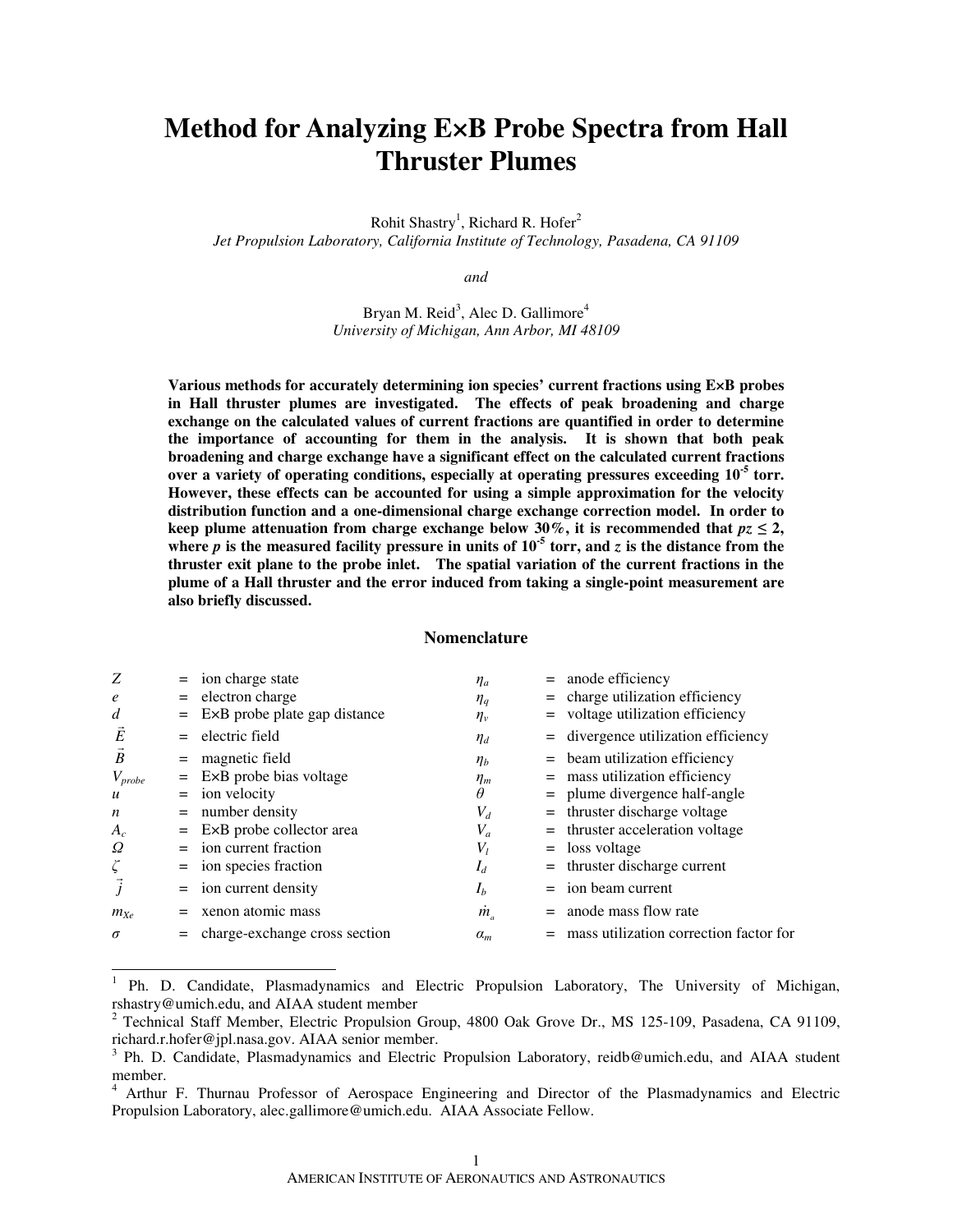# **Method for Analyzing E×B Probe Spectra from Hall Thruster Plumes**

Rohit Shastry<sup>1</sup>, Richard R. Hofer<sup>2</sup> *Jet Propulsion Laboratory, California Institute of Technology, Pasadena, CA 91109* 

*and* 

Bryan M. Reid<sup>3</sup>, Alec D. Gallimore<sup>4</sup> *University of Michigan, Ann Arbor, MI 48109* 

**Various methods for accurately determining ion species' current fractions using E×B probes in Hall thruster plumes are investigated. The effects of peak broadening and charge exchange on the calculated values of current fractions are quantified in order to determine the importance of accounting for them in the analysis. It is shown that both peak broadening and charge exchange have a significant effect on the calculated current fractions over a variety of operating conditions, especially at operating pressures exceeding 10-5 torr. However, these effects can be accounted for using a simple approximation for the velocity distribution function and a one-dimensional charge exchange correction model. In order to**  keep plume attenuation from charge exchange below  $30\%$ , it is recommended that  $pz \leq 2$ , **where** *p* is the measured facility pressure in units of  $10^{-5}$  torr, and *z* is the distance from the **thruster exit plane to the probe inlet. The spatial variation of the current fractions in the plume of a Hall thruster and the error induced from taking a single-point measurement are also briefly discussed.** 

## **Nomenclature**

| Ζ                | $=$ ion charge state                      | $\eta_a$         | $=$ anode efficiency                   |
|------------------|-------------------------------------------|------------------|----------------------------------------|
| $\epsilon$       | $=$ electron charge                       | $\eta_q$         | $=$ charge utilization efficiency      |
| $\overline{d}$   | $=$ E $\times$ B probe plate gap distance | $\eta_v$         | $=$ voltage utilization efficiency     |
| $\vec{E}$        | $=$ electric field                        | $\eta_d$         | = divergence utilization efficiency    |
| $\vec{B}$        | $=$ magnetic field                        | $\eta_b$         | $=$ beam utilization efficiency        |
| $V_{probe}$      | $=$ ExB probe bias voltage                | $\eta_m$         | $=$ mass utilization efficiency        |
| $\boldsymbol{u}$ | $=$ ion velocity                          | $\theta$         | $=$ plume divergence half-angle        |
| n                | $=$ number density                        | $V_d$            | $=$ thruster discharge voltage         |
| $A_c$            | $=$ E $\times$ B probe collector area     | $V_a$            | = thruster acceleration voltage        |
| $\Omega$         | $=$ ion current fraction                  | $V_I$            | $=$ loss voltage                       |
| $\zeta$          | $=$ ion species fraction                  | $I_d$            | $=$ thruster discharge current         |
| $\overline{j}$   | $=$ ion current density                   | $I_b$            | $=$ ion beam current                   |
| $m_{Xe}$         | $=$ xenon atomic mass                     | $\boldsymbol{m}$ | $=$ anode mass flow rate               |
| $\sigma$         | charge-exchange cross section             | $\alpha_m$       | mass utilization correction factor for |

<sup>|&</sup>lt;br>|<br>| Ph. D. Candidate, Plasmadynamics and Electric Propulsion Laboratory, The University of Michigan, rshastry@umich.edu, and AIAA student member

<sup>&</sup>lt;sup>2</sup> Technical Staff Member, Electric Propulsion Group, 4800 Oak Grove Dr., MS 125-109, Pasadena, CA 91109, richard.r.hofer@jpl.nasa.gov. AIAA senior member.

<sup>&</sup>lt;sup>3</sup> Ph. D. Candidate, Plasmadynamics and Electric Propulsion Laboratory, reidb@umich.edu, and AIAA student member.

<sup>&</sup>lt;sup>4</sup> Arthur F. Thurnau Professor of Aerospace Engineering and Director of the Plasmadynamics and Electric Propulsion Laboratory, alec.gallimore@umich.edu. AIAA Associate Fellow.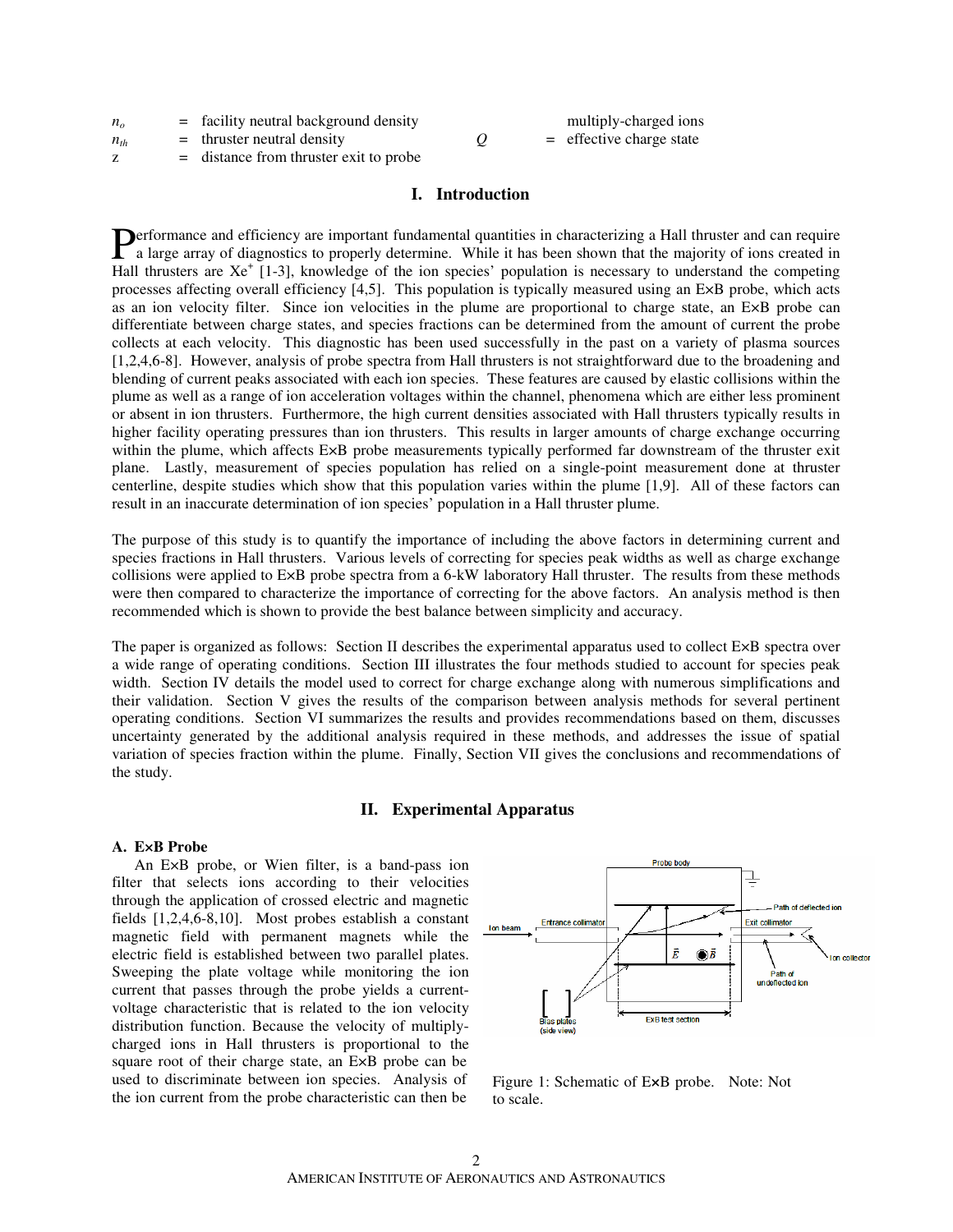| $n_{\alpha}$ | $=$ facility neutral background density  |  | multiply-charged ions      |
|--------------|------------------------------------------|--|----------------------------|
| $n_{th}$     | $=$ thruster neutral density             |  | $=$ effective charge state |
|              | $=$ distance from thruster exit to probe |  |                            |

# **I. Introduction**

erformance and efficiency are important fundamental quantities in characterizing a Hall thruster and can require **P**erformance and efficiency are important fundamental quantities in characterizing a Hall thruster and can require a large array of diagnostics to properly determine. While it has been shown that the majority of ions crea Hall thrusters are  $Xe^+$  [1-3], knowledge of the ion species' population is necessary to understand the competing processes affecting overall efficiency [4,5]. This population is typically measured using an E×B probe, which acts as an ion velocity filter. Since ion velocities in the plume are proportional to charge state, an E×B probe can differentiate between charge states, and species fractions can be determined from the amount of current the probe collects at each velocity. This diagnostic has been used successfully in the past on a variety of plasma sources [1,2,4,6-8]. However, analysis of probe spectra from Hall thrusters is not straightforward due to the broadening and blending of current peaks associated with each ion species. These features are caused by elastic collisions within the plume as well as a range of ion acceleration voltages within the channel, phenomena which are either less prominent or absent in ion thrusters. Furthermore, the high current densities associated with Hall thrusters typically results in higher facility operating pressures than ion thrusters. This results in larger amounts of charge exchange occurring within the plume, which affects E×B probe measurements typically performed far downstream of the thruster exit plane. Lastly, measurement of species population has relied on a single-point measurement done at thruster centerline, despite studies which show that this population varies within the plume [1,9]. All of these factors can result in an inaccurate determination of ion species' population in a Hall thruster plume.

The purpose of this study is to quantify the importance of including the above factors in determining current and species fractions in Hall thrusters. Various levels of correcting for species peak widths as well as charge exchange collisions were applied to E×B probe spectra from a 6-kW laboratory Hall thruster. The results from these methods were then compared to characterize the importance of correcting for the above factors. An analysis method is then recommended which is shown to provide the best balance between simplicity and accuracy.

The paper is organized as follows: Section II describes the experimental apparatus used to collect E×B spectra over a wide range of operating conditions. Section III illustrates the four methods studied to account for species peak width. Section IV details the model used to correct for charge exchange along with numerous simplifications and their validation. Section V gives the results of the comparison between analysis methods for several pertinent operating conditions. Section VI summarizes the results and provides recommendations based on them, discusses uncertainty generated by the additional analysis required in these methods, and addresses the issue of spatial variation of species fraction within the plume. Finally, Section VII gives the conclusions and recommendations of the study.

#### **II. Experimental Apparatus**

# **A. E×B Probe**

An E×B probe, or Wien filter, is a band-pass ion filter that selects ions according to their velocities through the application of crossed electric and magnetic fields [1,2,4,6-8,10]. Most probes establish a constant magnetic field with permanent magnets while the electric field is established between two parallel plates. Sweeping the plate voltage while monitoring the ion current that passes through the probe yields a currentvoltage characteristic that is related to the ion velocity distribution function. Because the velocity of multiplycharged ions in Hall thrusters is proportional to the square root of their charge state, an E×B probe can be used to discriminate between ion species. Analysis of the ion current from the probe characteristic can then be



Figure 1: Schematic of E**×**B probe. Note: Not to scale.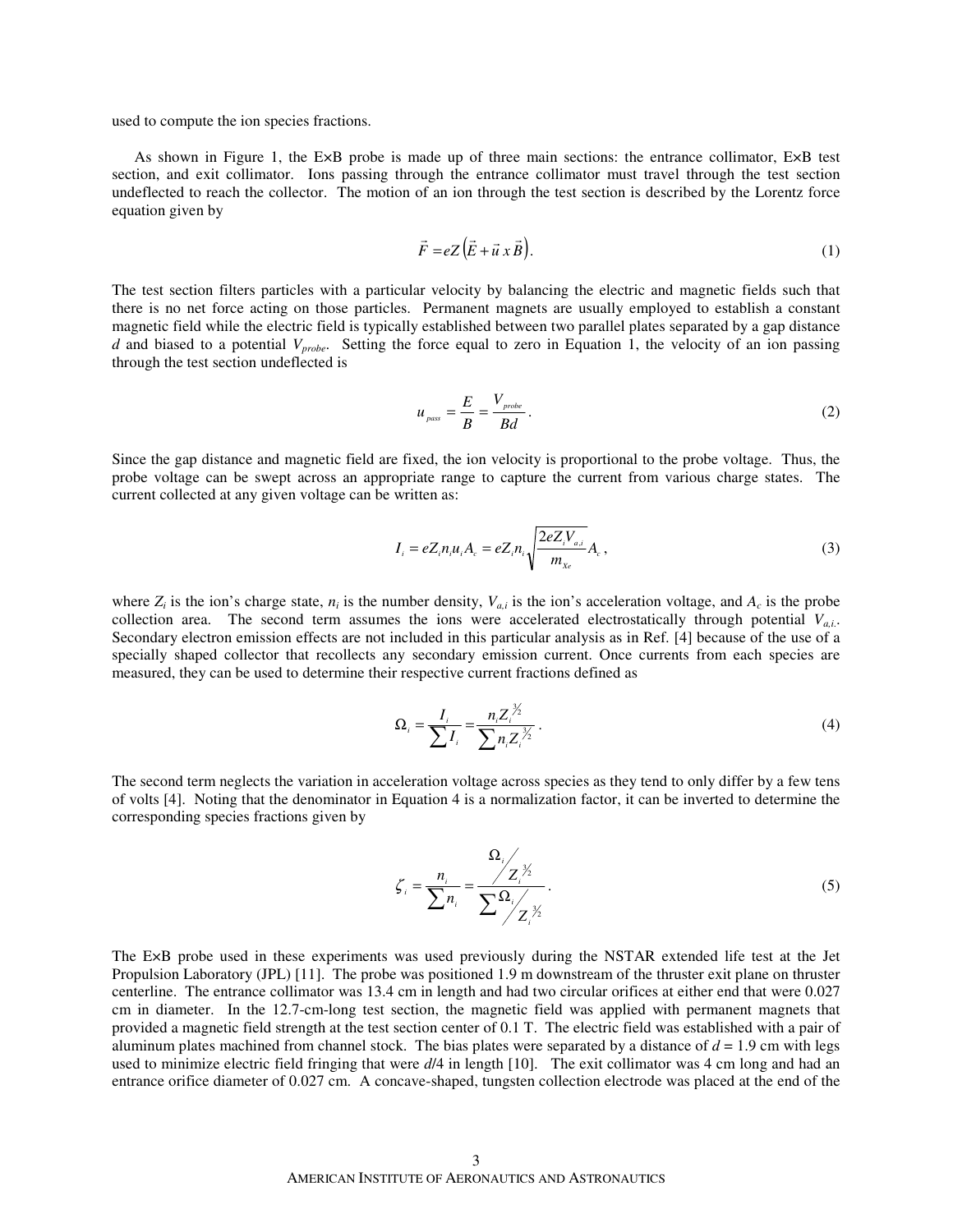used to compute the ion species fractions.

As shown in Figure 1, the E×B probe is made up of three main sections: the entrance collimator, E×B test section, and exit collimator. Ions passing through the entrance collimator must travel through the test section undeflected to reach the collector. The motion of an ion through the test section is described by the Lorentz force equation given by

$$
\vec{F} = eZ(\vec{E} + \vec{u} \times \vec{B}).
$$
\n(1)

The test section filters particles with a particular velocity by balancing the electric and magnetic fields such that there is no net force acting on those particles. Permanent magnets are usually employed to establish a constant magnetic field while the electric field is typically established between two parallel plates separated by a gap distance *d* and biased to a potential *Vprobe*. Setting the force equal to zero in Equation 1, the velocity of an ion passing through the test section undeflected is

$$
u_{\text{pass}} = \frac{E}{B} = \frac{V_{\text{probe}}}{Bd} \,. \tag{2}
$$

Since the gap distance and magnetic field are fixed, the ion velocity is proportional to the probe voltage. Thus, the probe voltage can be swept across an appropriate range to capture the current from various charge states. The current collected at any given voltage can be written as:

$$
I_i = eZ_i n_i u_i A_c = eZ_i n_i \sqrt{\frac{2eZ_i V_{a,i}}{m_{x_e}}} A_c,
$$
\n(3)

where  $Z_i$  is the ion's charge state,  $n_i$  is the number density,  $V_{a,i}$  is the ion's acceleration voltage, and  $A_c$  is the probe collection area. The second term assumes the ions were accelerated electrostatically through potential  $V_{a,i}$ . Secondary electron emission effects are not included in this particular analysis as in Ref. [4] because of the use of a specially shaped collector that recollects any secondary emission current. Once currents from each species are measured, they can be used to determine their respective current fractions defined as

$$
\Omega_i = \frac{I_i}{\sum I_i} = \frac{n_i Z_i^{\frac{\gamma}{2}}}{\sum n_i Z_i^{\frac{\gamma}{2}}} \,. \tag{4}
$$

The second term neglects the variation in acceleration voltage across species as they tend to only differ by a few tens of volts [4]. Noting that the denominator in Equation 4 is a normalization factor, it can be inverted to determine the corresponding species fractions given by

$$
\zeta_i = \frac{n_i}{\sum n_i} = \frac{\frac{\Omega_i}{Z_i} \frac{\chi_i}{Z_i}}{\sum \frac{\Omega_i}{Z_i} \frac{\chi_i}{Z_i}}
$$
\n(5)

The E×B probe used in these experiments was used previously during the NSTAR extended life test at the Jet Propulsion Laboratory (JPL) [11]. The probe was positioned 1.9 m downstream of the thruster exit plane on thruster centerline. The entrance collimator was 13.4 cm in length and had two circular orifices at either end that were 0.027 cm in diameter. In the 12.7-cm-long test section, the magnetic field was applied with permanent magnets that provided a magnetic field strength at the test section center of 0.1 T. The electric field was established with a pair of aluminum plates machined from channel stock. The bias plates were separated by a distance of  $d = 1.9$  cm with legs used to minimize electric field fringing that were *d*/4 in length [10]. The exit collimator was 4 cm long and had an entrance orifice diameter of 0.027 cm. A concave-shaped, tungsten collection electrode was placed at the end of the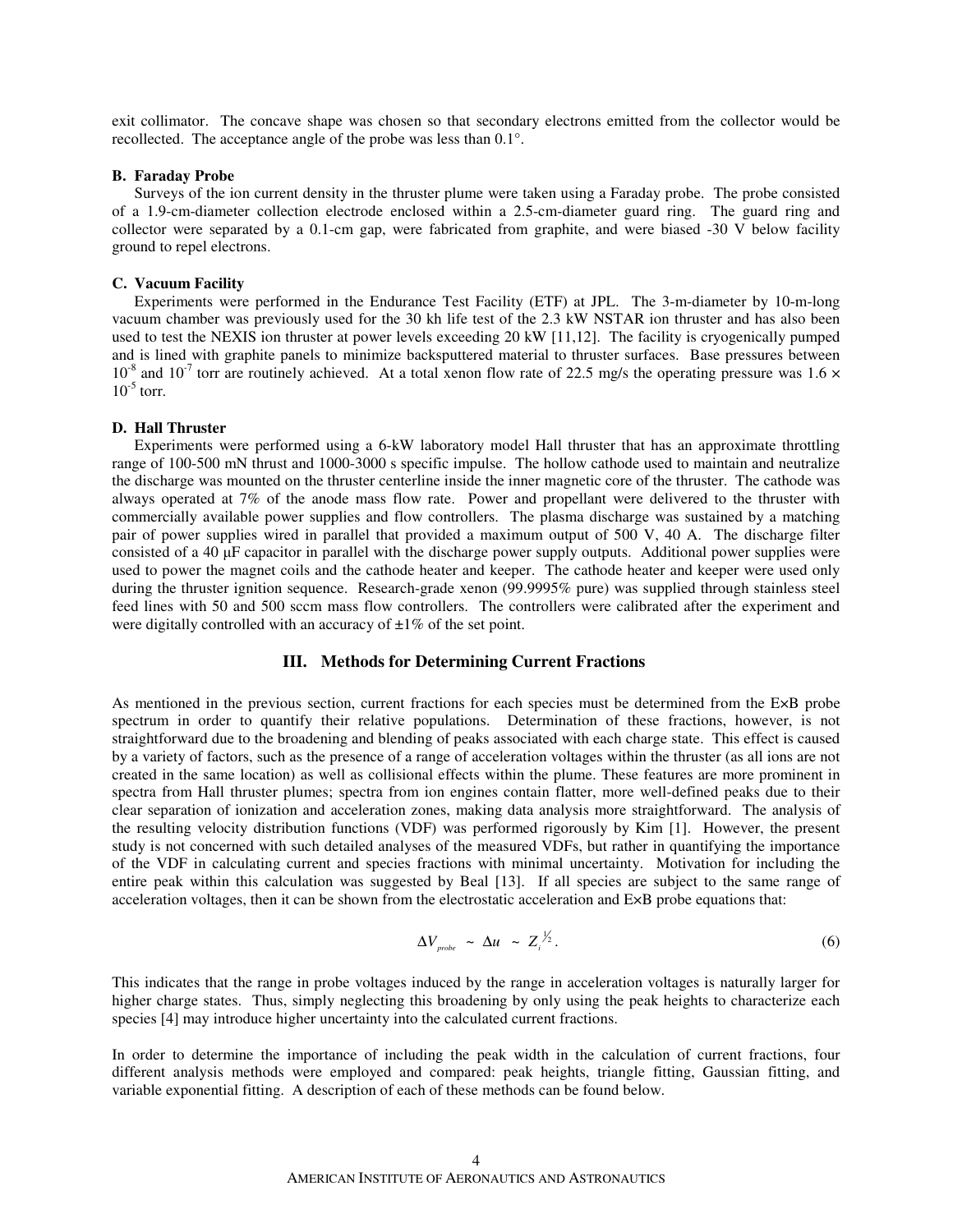exit collimator. The concave shape was chosen so that secondary electrons emitted from the collector would be recollected. The acceptance angle of the probe was less than 0.1°.

#### **B. Faraday Probe**

 Surveys of the ion current density in the thruster plume were taken using a Faraday probe. The probe consisted of a 1.9-cm-diameter collection electrode enclosed within a 2.5-cm-diameter guard ring. The guard ring and collector were separated by a 0.1-cm gap, were fabricated from graphite, and were biased -30 V below facility ground to repel electrons.

#### **C. Vacuum Facility**

Experiments were performed in the Endurance Test Facility (ETF) at JPL. The 3-m-diameter by 10-m-long vacuum chamber was previously used for the 30 kh life test of the 2.3 kW NSTAR ion thruster and has also been used to test the NEXIS ion thruster at power levels exceeding 20 kW [11,12]. The facility is cryogenically pumped and is lined with graphite panels to minimize backsputtered material to thruster surfaces. Base pressures between  $10^{-8}$  and  $10^{-7}$  torr are routinely achieved. At a total xenon flow rate of 22.5 mg/s the operating pressure was 1.6  $\times$  $10^{-5}$  torr.

## **D. Hall Thruster**

Experiments were performed using a 6-kW laboratory model Hall thruster that has an approximate throttling range of 100-500 mN thrust and 1000-3000 s specific impulse. The hollow cathode used to maintain and neutralize the discharge was mounted on the thruster centerline inside the inner magnetic core of the thruster. The cathode was always operated at 7% of the anode mass flow rate. Power and propellant were delivered to the thruster with commercially available power supplies and flow controllers. The plasma discharge was sustained by a matching pair of power supplies wired in parallel that provided a maximum output of 500 V, 40 A. The discharge filter consisted of a 40 µF capacitor in parallel with the discharge power supply outputs. Additional power supplies were used to power the magnet coils and the cathode heater and keeper. The cathode heater and keeper were used only during the thruster ignition sequence. Research-grade xenon (99.9995% pure) was supplied through stainless steel feed lines with 50 and 500 sccm mass flow controllers. The controllers were calibrated after the experiment and were digitally controlled with an accuracy of  $\pm 1\%$  of the set point.

## **III. Methods for Determining Current Fractions**

As mentioned in the previous section, current fractions for each species must be determined from the E×B probe spectrum in order to quantify their relative populations. Determination of these fractions, however, is not straightforward due to the broadening and blending of peaks associated with each charge state. This effect is caused by a variety of factors, such as the presence of a range of acceleration voltages within the thruster (as all ions are not created in the same location) as well as collisional effects within the plume. These features are more prominent in spectra from Hall thruster plumes; spectra from ion engines contain flatter, more well-defined peaks due to their clear separation of ionization and acceleration zones, making data analysis more straightforward. The analysis of the resulting velocity distribution functions (VDF) was performed rigorously by Kim [1]. However, the present study is not concerned with such detailed analyses of the measured VDFs, but rather in quantifying the importance of the VDF in calculating current and species fractions with minimal uncertainty. Motivation for including the entire peak within this calculation was suggested by Beal [13]. If all species are subject to the same range of acceleration voltages, then it can be shown from the electrostatic acceleration and E×B probe equations that:

$$
\Delta V_{\text{probe}} \sim \Delta u \sim Z_i^{\frac{1}{2}}.
$$
 (6)

This indicates that the range in probe voltages induced by the range in acceleration voltages is naturally larger for higher charge states. Thus, simply neglecting this broadening by only using the peak heights to characterize each species [4] may introduce higher uncertainty into the calculated current fractions.

In order to determine the importance of including the peak width in the calculation of current fractions, four different analysis methods were employed and compared: peak heights, triangle fitting, Gaussian fitting, and variable exponential fitting. A description of each of these methods can be found below.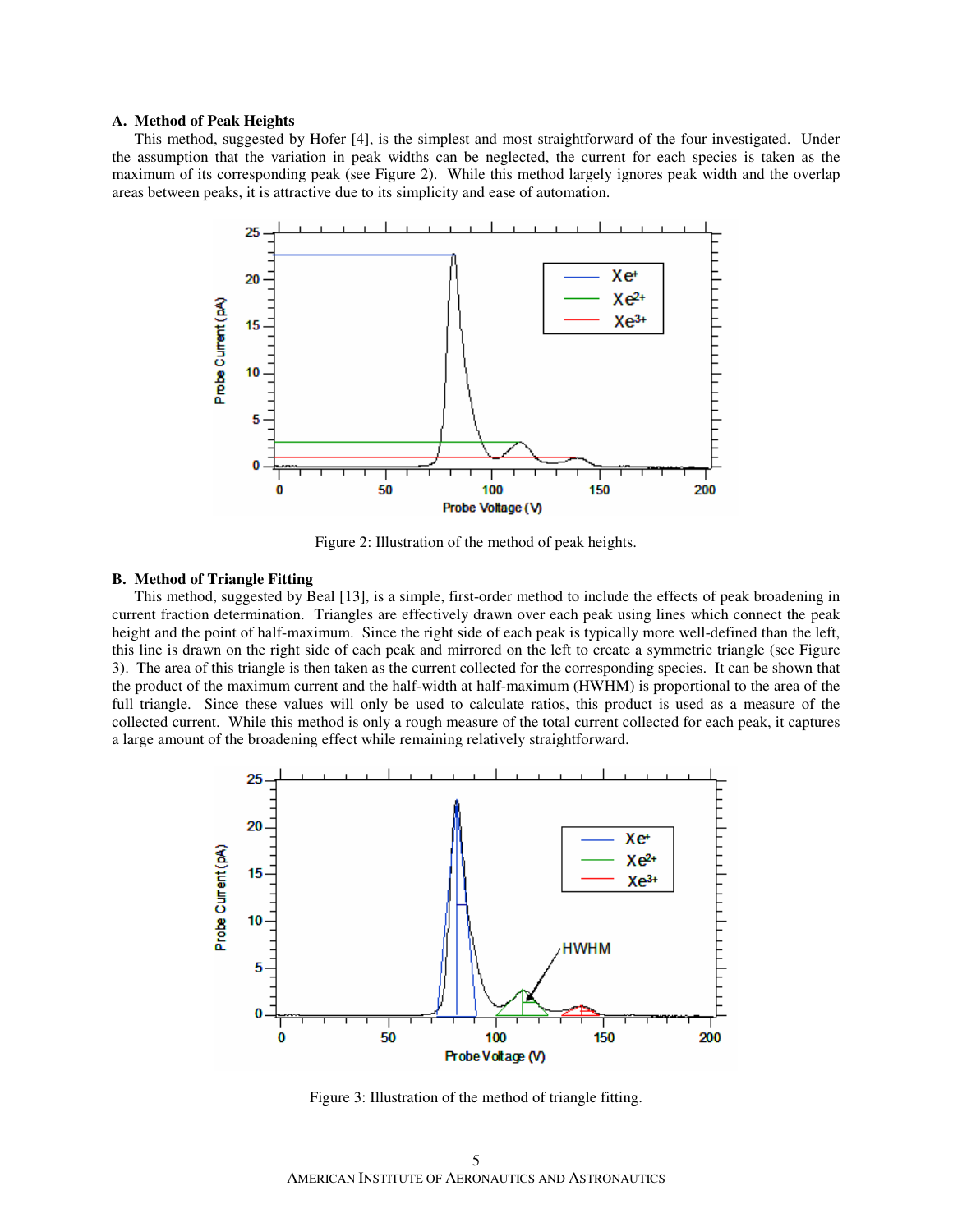#### **A. Method of Peak Heights**

This method, suggested by Hofer [4], is the simplest and most straightforward of the four investigated. Under the assumption that the variation in peak widths can be neglected, the current for each species is taken as the maximum of its corresponding peak (see Figure 2). While this method largely ignores peak width and the overlap areas between peaks, it is attractive due to its simplicity and ease of automation.



Figure 2: Illustration of the method of peak heights.

## **B. Method of Triangle Fitting**

This method, suggested by Beal [13], is a simple, first-order method to include the effects of peak broadening in current fraction determination. Triangles are effectively drawn over each peak using lines which connect the peak height and the point of half-maximum. Since the right side of each peak is typically more well-defined than the left, this line is drawn on the right side of each peak and mirrored on the left to create a symmetric triangle (see Figure 3). The area of this triangle is then taken as the current collected for the corresponding species. It can be shown that the product of the maximum current and the half-width at half-maximum (HWHM) is proportional to the area of the full triangle. Since these values will only be used to calculate ratios, this product is used as a measure of the collected current. While this method is only a rough measure of the total current collected for each peak, it captures a large amount of the broadening effect while remaining relatively straightforward.



Figure 3: Illustration of the method of triangle fitting.

AMERICAN INSTITUTE OF AERONAUTICS AND ASTRONAUTICS 5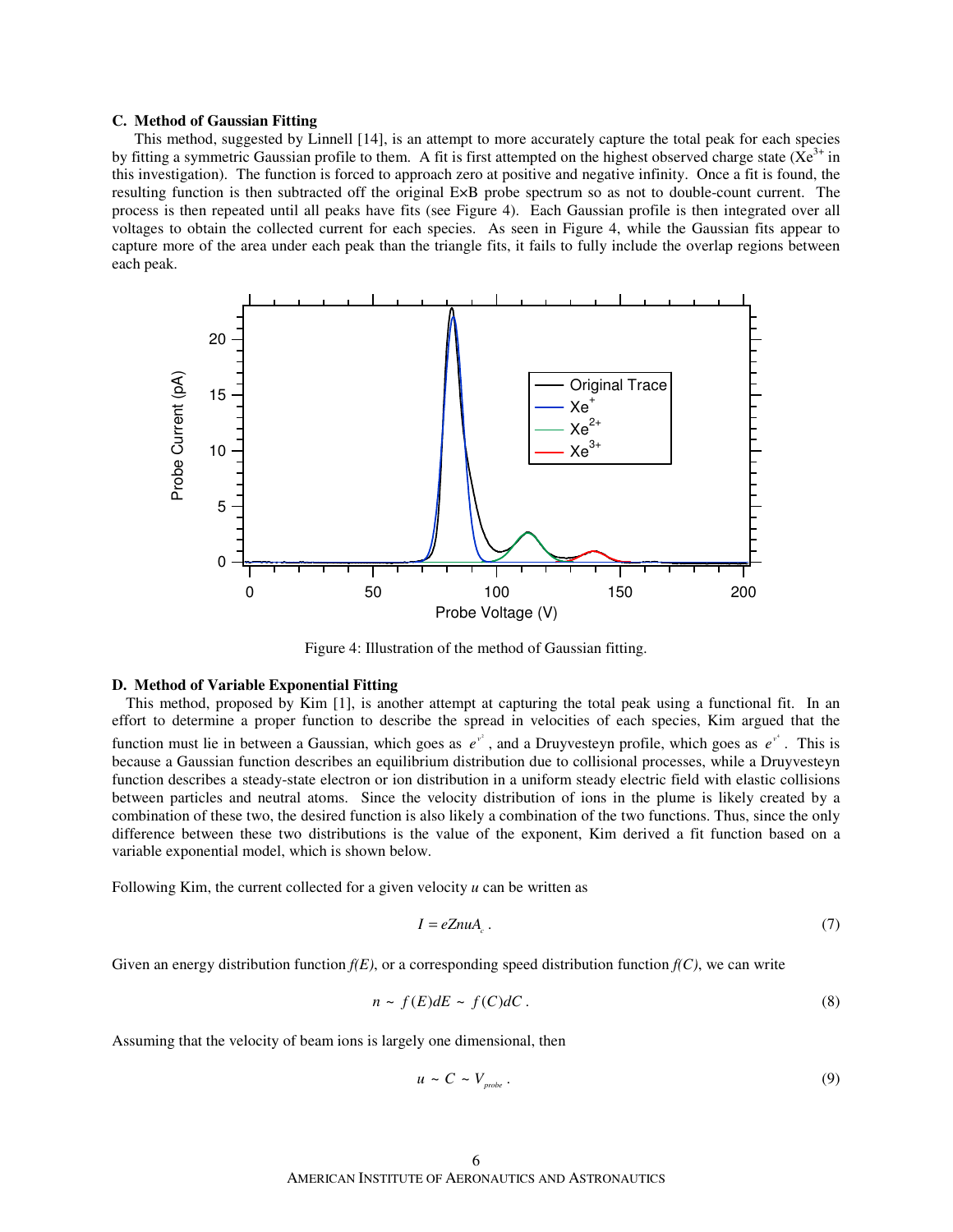#### **C. Method of Gaussian Fitting**

This method, suggested by Linnell [14], is an attempt to more accurately capture the total peak for each species by fitting a symmetric Gaussian profile to them. A fit is first attempted on the highest observed charge state  $(Xe^{3+}$  in this investigation). The function is forced to approach zero at positive and negative infinity. Once a fit is found, the resulting function is then subtracted off the original E×B probe spectrum so as not to double-count current. The process is then repeated until all peaks have fits (see Figure 4). Each Gaussian profile is then integrated over all voltages to obtain the collected current for each species. As seen in Figure 4, while the Gaussian fits appear to capture more of the area under each peak than the triangle fits, it fails to fully include the overlap regions between each peak.



Figure 4: Illustration of the method of Gaussian fitting.

#### **D. Method of Variable Exponential Fitting**

This method, proposed by Kim [1], is another attempt at capturing the total peak using a functional fit. In an effort to determine a proper function to describe the spread in velocities of each species, Kim argued that the function must lie in between a Gaussian, which goes as  $e^{v^2}$ , and a Druyvesteyn profile, which goes as  $e^{v^2}$ . This is because a Gaussian function describes an equilibrium distribution due to collisional processes, while a Druyvesteyn function describes a steady-state electron or ion distribution in a uniform steady electric field with elastic collisions between particles and neutral atoms. Since the velocity distribution of ions in the plume is likely created by a combination of these two, the desired function is also likely a combination of the two functions. Thus, since the only difference between these two distributions is the value of the exponent, Kim derived a fit function based on a variable exponential model, which is shown below.

Following Kim, the current collected for a given velocity *u* can be written as

$$
I = eZnuA_c.
$$
 (7)

Given an energy distribution function  $f(E)$ , or a corresponding speed distribution function  $f(C)$ , we can write

$$
n \sim f(E)dE \sim f(C)dC. \tag{8}
$$

Assuming that the velocity of beam ions is largely one dimensional, then

$$
u \sim C \sim V_{\text{probe}} \, . \tag{9}
$$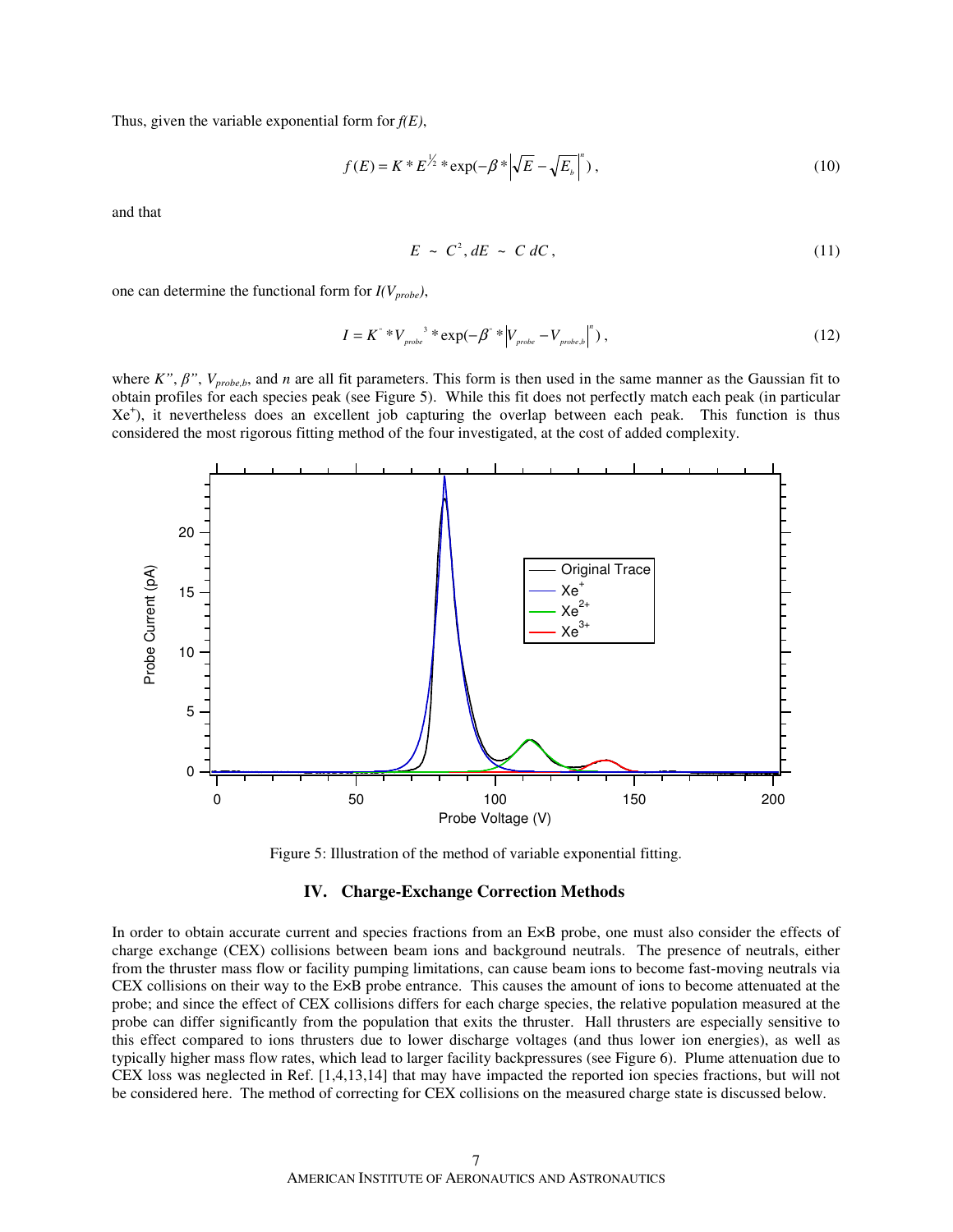Thus, given the variable exponential form for *f(E)*,

$$
f(E) = K * E^{\frac{1}{2}} * \exp(-\beta * |\sqrt{E} - \sqrt{E_{b}}|^{n}),
$$
\n(10)

and that

$$
E \sim C^2, dE \sim C dC, \qquad (11)
$$

one can determine the functional form for  $I(V_{probe})$ ,

$$
I = K^* * V_{\text{probe}}^3 * \exp(-\beta^* * |V_{\text{probe}} - V_{\text{probe}}|^n) , \qquad (12)
$$

where  $K''$ ,  $\beta''$ ,  $V_{probe,b}$ , and *n* are all fit parameters. This form is then used in the same manner as the Gaussian fit to obtain profiles for each species peak (see Figure 5). While this fit does not perfectly match each peak (in particular Xe<sup>+</sup>), it nevertheless does an excellent job capturing the overlap between each peak. This function is thus considered the most rigorous fitting method of the four investigated, at the cost of added complexity.





## **IV. Charge-Exchange Correction Methods**

In order to obtain accurate current and species fractions from an E×B probe, one must also consider the effects of charge exchange (CEX) collisions between beam ions and background neutrals. The presence of neutrals, either from the thruster mass flow or facility pumping limitations, can cause beam ions to become fast-moving neutrals via CEX collisions on their way to the E×B probe entrance. This causes the amount of ions to become attenuated at the probe; and since the effect of CEX collisions differs for each charge species, the relative population measured at the probe can differ significantly from the population that exits the thruster. Hall thrusters are especially sensitive to this effect compared to ions thrusters due to lower discharge voltages (and thus lower ion energies), as well as typically higher mass flow rates, which lead to larger facility backpressures (see Figure 6). Plume attenuation due to CEX loss was neglected in Ref. [1,4,13,14] that may have impacted the reported ion species fractions, but will not be considered here. The method of correcting for CEX collisions on the measured charge state is discussed below.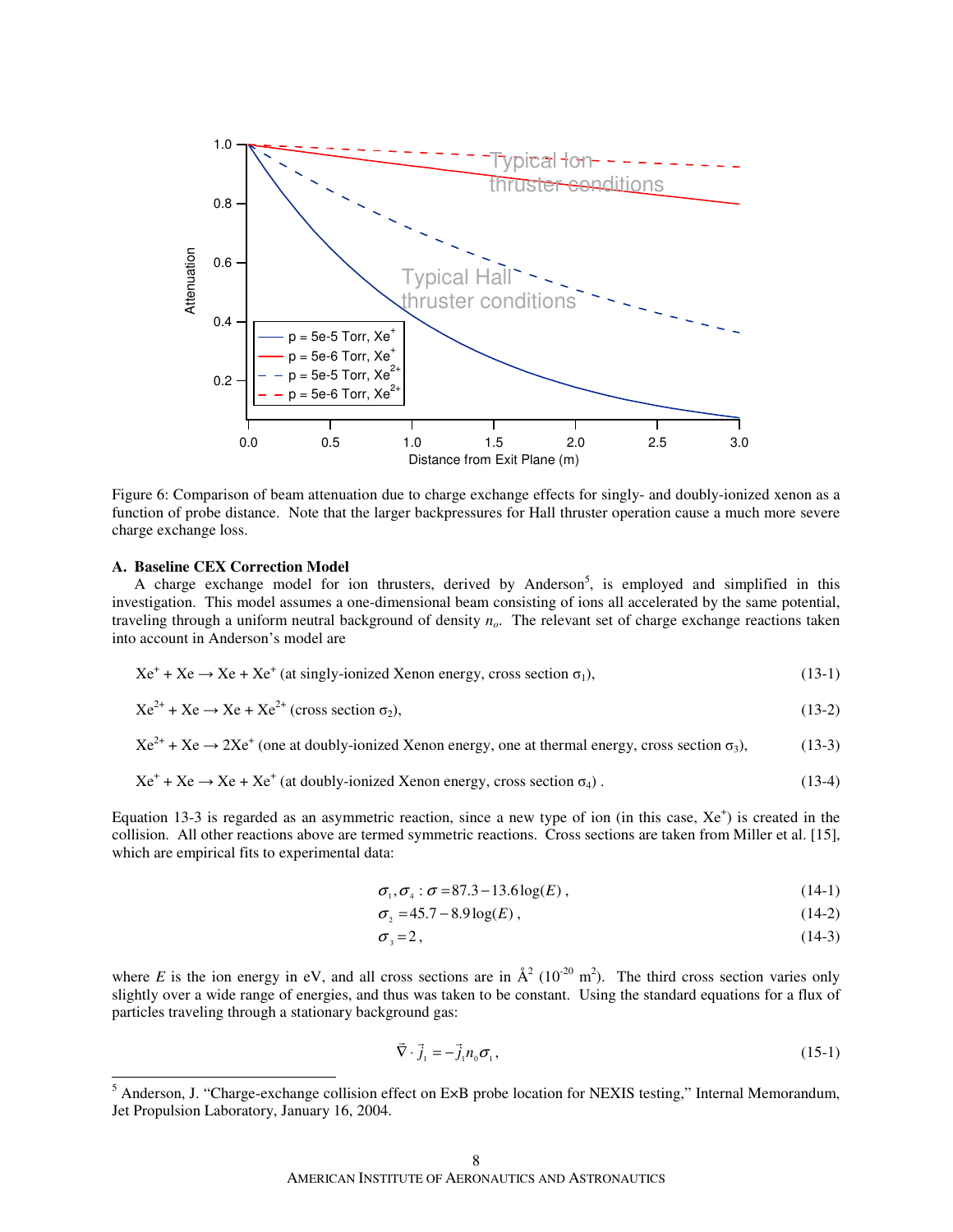

Figure 6: Comparison of beam attenuation due to charge exchange effects for singly- and doubly-ionized xenon as a function of probe distance. Note that the larger backpressures for Hall thruster operation cause a much more severe charge exchange loss.

#### **A. Baseline CEX Correction Model**

A charge exchange model for ion thrusters, derived by Anderson<sup>5</sup>, is employed and simplified in this investigation. This model assumes a one-dimensional beam consisting of ions all accelerated by the same potential, traveling through a uniform neutral background of density *no*. The relevant set of charge exchange reactions taken into account in Anderson's model are

$$
Xe^{+} + Xe \rightarrow Xe + Xe^{+} \text{ (at singly-ionized Xenon energy, cross section } \sigma_1\text{)},\tag{13-1}
$$

$$
Xe^{2+} + Xe \to Xe + Xe^{2+} \text{ (cross section } \sigma_2\text{)},\tag{13-2}
$$

 $Xe^{2+} + Xe \rightarrow 2Xe^+$  (one at doubly-ionized Xenon energy, one at thermal energy, cross section  $\sigma_3$ ), (13-3)

$$
Xe^{+} + Xe \rightarrow Xe + Xe^{+}
$$
 (at doubly-ionized Xenon energy, cross section  $\sigma_4$ ). (13-4)

Equation 13-3 is regarded as an asymmetric reaction, since a new type of ion (in this case,  $Xe^+$ ) is created in the collision. All other reactions above are termed symmetric reactions. Cross sections are taken from Miller et al. [15], which are empirical fits to experimental data:

$$
\sigma_1, \sigma_4 : \sigma = 87.3 - 13.6 \log(E) , \tag{14-1}
$$

$$
\sigma_2 = 45.7 - 8.9 \log(E) \,, \tag{14-2}
$$

$$
\sigma_{3}=2, \qquad (14-3)
$$

where E is the ion energy in eV, and all cross sections are in  $\mathring{A}^2$  (10<sup>-20</sup> m<sup>2</sup>). The third cross section varies only slightly over a wide range of energies, and thus was taken to be constant. Using the standard equations for a flux of particles traveling through a stationary background gas:

$$
\vec{\nabla} \cdot \vec{j}_1 = -\vec{j}_1 n_0 \sigma_1, \qquad (15-1)
$$

<sup>&</sup>lt;sup>5</sup> Anderson, J. "Charge-exchange collision effect on ExB probe location for NEXIS testing," Internal Memorandum, Jet Propulsion Laboratory, January 16, 2004.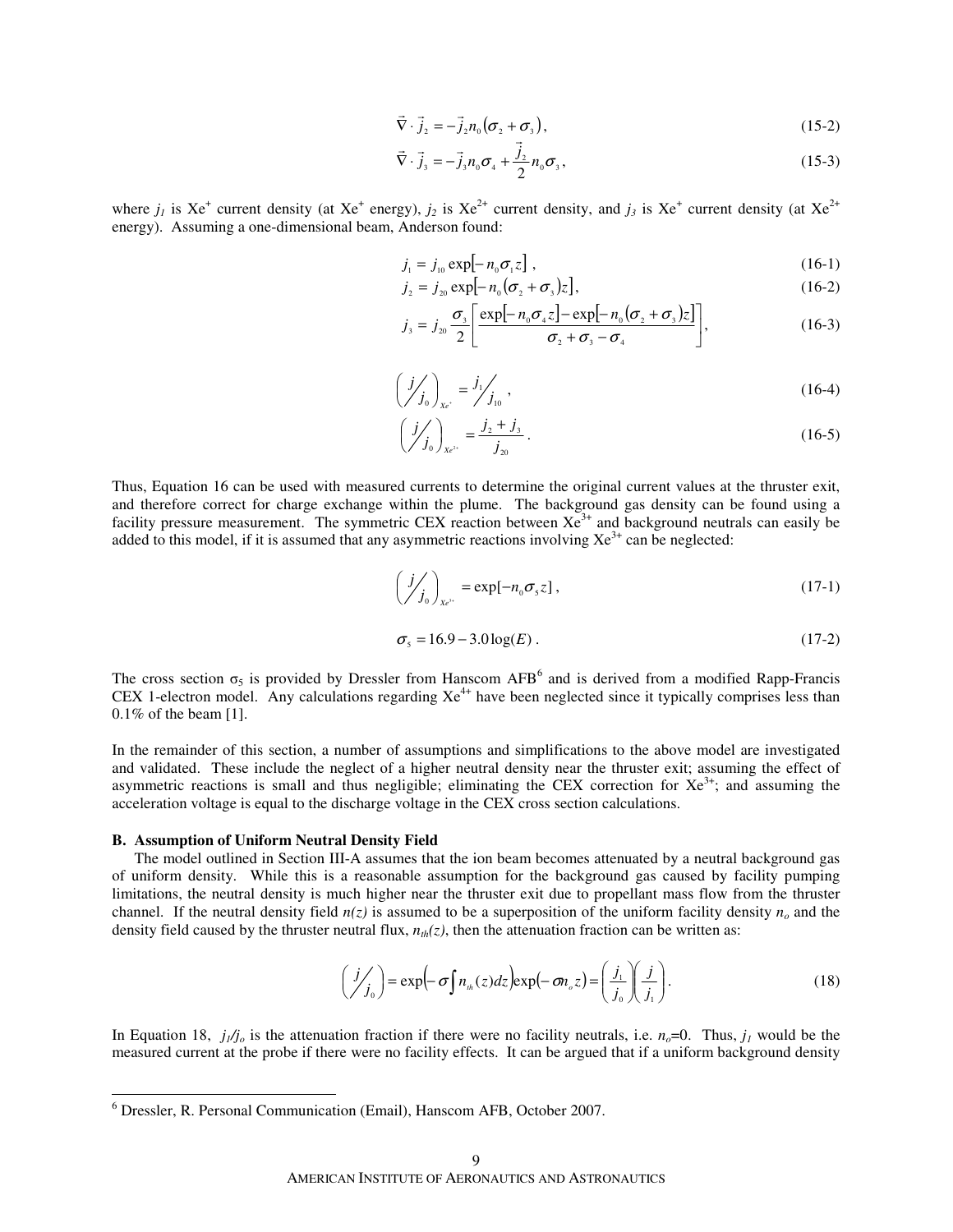$$
\vec{\nabla} \cdot \vec{j}_2 = -\vec{j}_2 n_0 \left( \sigma_2 + \sigma_3 \right),\tag{15-2}
$$

$$
\vec{\nabla} \cdot \vec{j}_3 = -\vec{j}_3 n_0 \sigma_4 + \frac{\vec{j}_2}{2} n_0 \sigma_3, \qquad (15-3)
$$

where  $j_l$  is Xe<sup>+</sup> current density (at Xe<sup>+</sup> energy),  $j_2$  is Xe<sup>2+</sup> current density, and  $j_3$  is Xe<sup>+</sup> current density (at Xe<sup>2+</sup> energy). Assuming a one-dimensional beam, Anderson found:

$$
j_1 = j_{10} \exp[-n_0 \sigma_1 z], \qquad (16-1)
$$

$$
j_2 = j_{20} \exp[-n_0(\sigma_2 + \sigma_3)z], \tag{16-2}
$$

$$
j_3 = j_{20} \frac{\sigma_3}{2} \left[ \frac{\exp[-n_0 \sigma_4 z] - \exp[-n_0 (\sigma_2 + \sigma_3) z]}{\sigma_2 + \sigma_3 - \sigma_4} \right],
$$
 (16-3)

$$
\left(\frac{j}{j_0}\right)_{x_{e^*}} = \frac{j_1}{j_{10}},\tag{16-4}
$$

$$
\left(\frac{j}{j_0}\right)_{x e^{2x}} = \frac{j_2 + j_3}{j_{20}}\,. \tag{16-5}
$$

Thus, Equation 16 can be used with measured currents to determine the original current values at the thruster exit, and therefore correct for charge exchange within the plume. The background gas density can be found using a facility pressure measurement. The symmetric CEX reaction between  $Xe^{3+}$  and background neutrals can easily be added to this model, if it is assumed that any asymmetric reactions involving  $Xe^{3+}$  can be neglected:

$$
\left(\frac{j}{j_0}\right)_{Xe^{3+}} = \exp[-n_0\sigma_s z],\tag{17-1}
$$

$$
\sigma_{s} = 16.9 - 3.0 \log(E) \,. \tag{17-2}
$$

The cross section  $\sigma_5$  is provided by Dressler from Hanscom AFB<sup>6</sup> and is derived from a modified Rapp-Francis CEX 1-electron model. Any calculations regarding  $Xe^{4+}$  have been neglected since it typically comprises less than 0.1% of the beam [1].

In the remainder of this section, a number of assumptions and simplifications to the above model are investigated and validated. These include the neglect of a higher neutral density near the thruster exit; assuming the effect of asymmetric reactions is small and thus negligible; eliminating the CEX correction for  $Xe^{3+}$ ; and assuming the acceleration voltage is equal to the discharge voltage in the CEX cross section calculations.

#### **B. Assumption of Uniform Neutral Density Field**

 $\overline{a}$ 

 The model outlined in Section III-A assumes that the ion beam becomes attenuated by a neutral background gas of uniform density. While this is a reasonable assumption for the background gas caused by facility pumping limitations, the neutral density is much higher near the thruster exit due to propellant mass flow from the thruster channel. If the neutral density field  $n(z)$  is assumed to be a superposition of the uniform facility density  $n_0$  and the density field caused by the thruster neutral flux, *nth(z)*, then the attenuation fraction can be written as:

$$
\left(\frac{j}{j_0}\right) = \exp\left(-\sigma \int n_{th}(z) dz\right) \exp\left(-\sigma n_{0} z\right) = \left(\frac{j_1}{j_0}\right) \left(\frac{j}{j_1}\right). \tag{18}
$$

In Equation 18,  $j_1/j_0$  is the attenuation fraction if there were no facility neutrals, i.e.  $n_0=0$ . Thus,  $j_1$  would be the measured current at the probe if there were no facility effects. It can be argued that if a uniform background density

<sup>6</sup> Dressler, R. Personal Communication (Email), Hanscom AFB, October 2007.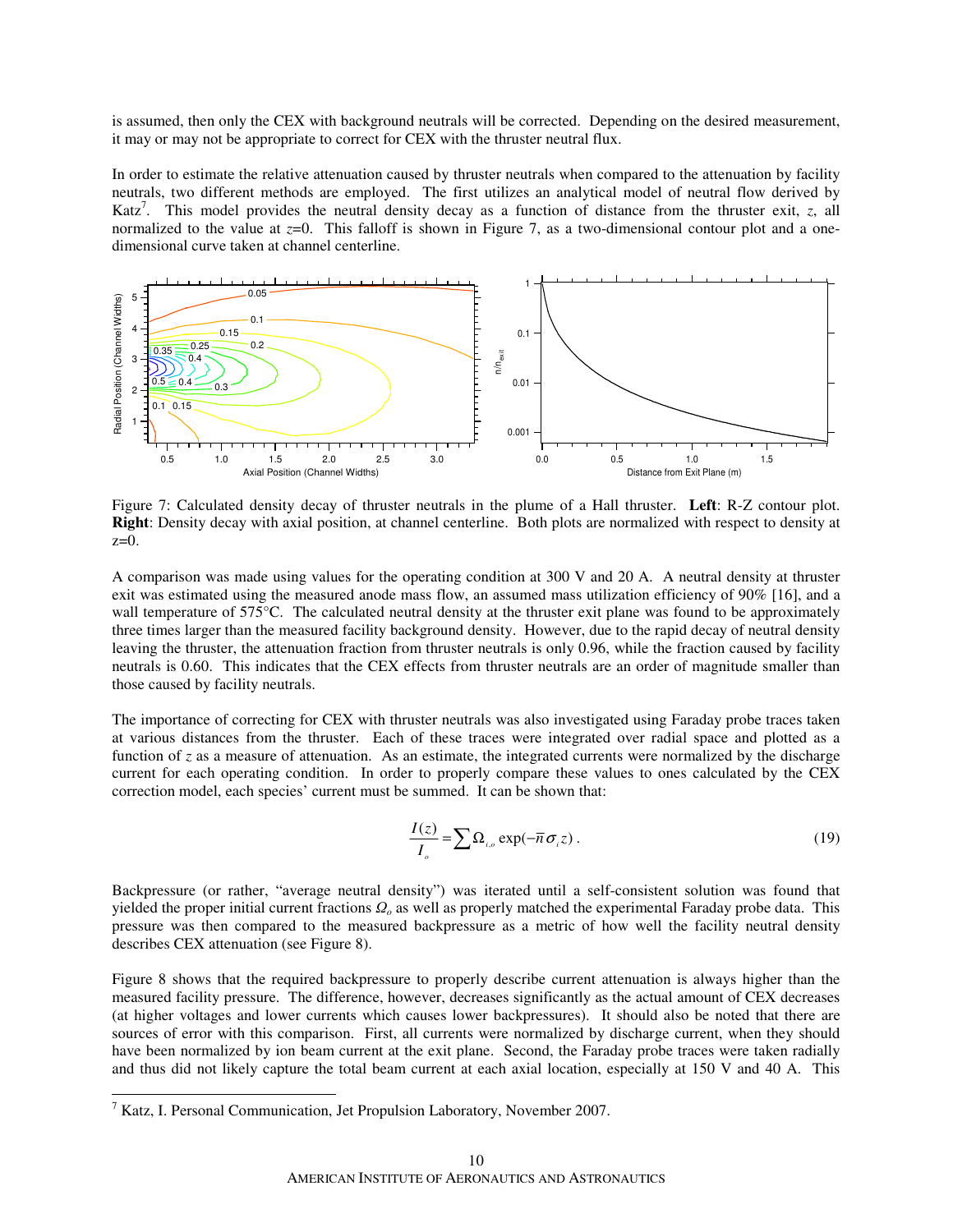is assumed, then only the CEX with background neutrals will be corrected. Depending on the desired measurement, it may or may not be appropriate to correct for CEX with the thruster neutral flux.

In order to estimate the relative attenuation caused by thruster neutrals when compared to the attenuation by facility neutrals, two different methods are employed. The first utilizes an analytical model of neutral flow derived by Katz<sup>7</sup>. This model provides the neutral density decay as a function of distance from the thruster exit, *z*, all normalized to the value at  $z=0$ . This falloff is shown in Figure 7, as a two-dimensional contour plot and a onedimensional curve taken at channel centerline.



Figure 7: Calculated density decay of thruster neutrals in the plume of a Hall thruster. **Left**: R-Z contour plot. **Right**: Density decay with axial position, at channel centerline. Both plots are normalized with respect to density at  $z=0$ .

A comparison was made using values for the operating condition at 300 V and 20 A. A neutral density at thruster exit was estimated using the measured anode mass flow, an assumed mass utilization efficiency of 90% [16], and a wall temperature of 575°C. The calculated neutral density at the thruster exit plane was found to be approximately three times larger than the measured facility background density. However, due to the rapid decay of neutral density leaving the thruster, the attenuation fraction from thruster neutrals is only 0.96, while the fraction caused by facility neutrals is 0.60. This indicates that the CEX effects from thruster neutrals are an order of magnitude smaller than those caused by facility neutrals.

The importance of correcting for CEX with thruster neutrals was also investigated using Faraday probe traces taken at various distances from the thruster. Each of these traces were integrated over radial space and plotted as a function of *z* as a measure of attenuation. As an estimate, the integrated currents were normalized by the discharge current for each operating condition. In order to properly compare these values to ones calculated by the CEX correction model, each species' current must be summed. It can be shown that:

$$
\frac{I(z)}{I_o} = \sum \Omega_{i,o} \exp(-\overline{n}\,\sigma_i z).
$$
 (19)

Backpressure (or rather, "average neutral density") was iterated until a self-consistent solution was found that yielded the proper initial current fractions Ω*o* as well as properly matched the experimental Faraday probe data. This pressure was then compared to the measured backpressure as a metric of how well the facility neutral density describes CEX attenuation (see Figure 8).

Figure 8 shows that the required backpressure to properly describe current attenuation is always higher than the measured facility pressure. The difference, however, decreases significantly as the actual amount of CEX decreases (at higher voltages and lower currents which causes lower backpressures). It should also be noted that there are sources of error with this comparison. First, all currents were normalized by discharge current, when they should have been normalized by ion beam current at the exit plane. Second, the Faraday probe traces were taken radially and thus did not likely capture the total beam current at each axial location, especially at 150 V and 40 A. This

 $\overline{a}$ 

<sup>&</sup>lt;sup>7</sup> Katz, I. Personal Communication, Jet Propulsion Laboratory, November 2007.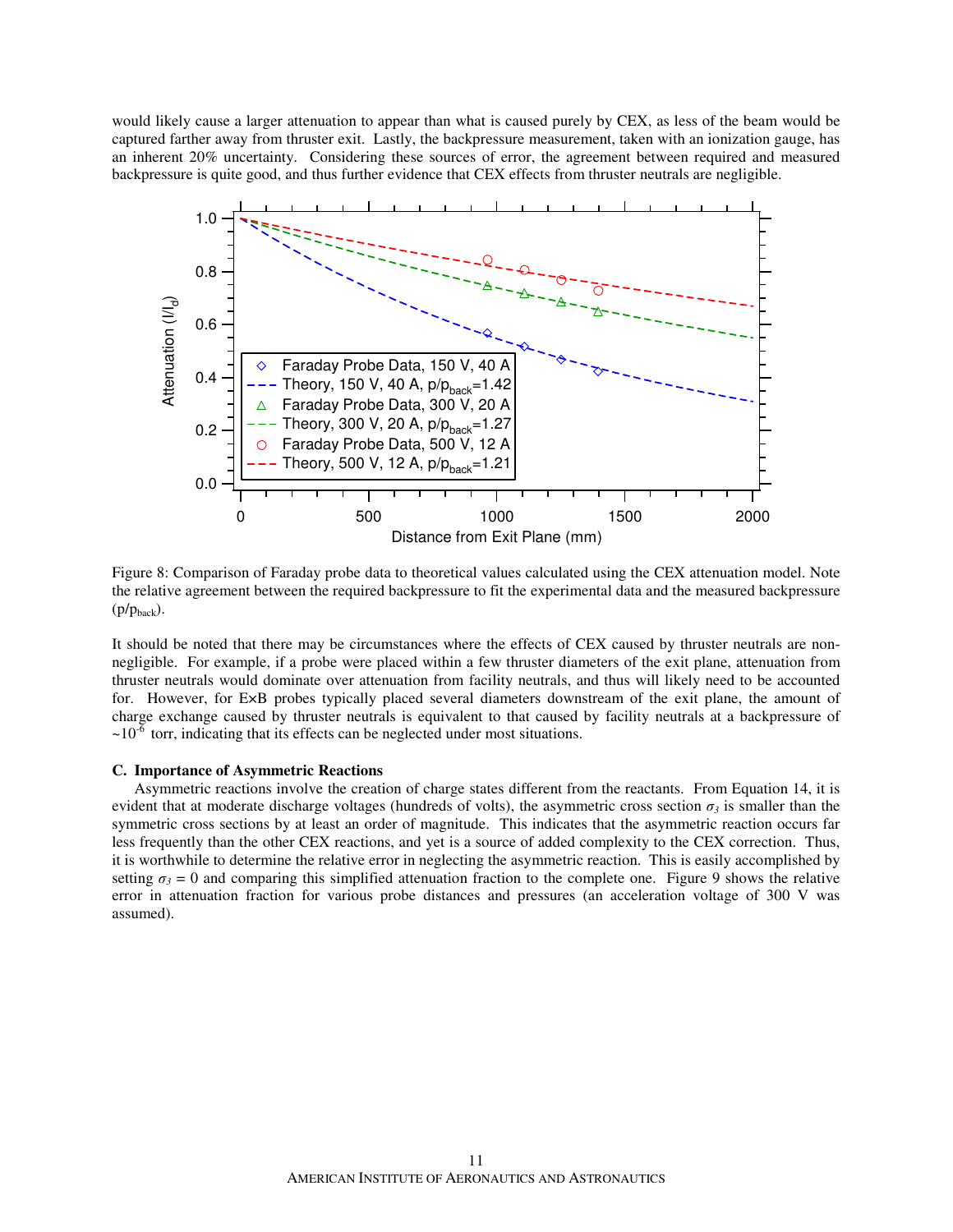would likely cause a larger attenuation to appear than what is caused purely by CEX, as less of the beam would be captured farther away from thruster exit. Lastly, the backpressure measurement, taken with an ionization gauge, has an inherent 20% uncertainty. Considering these sources of error, the agreement between required and measured backpressure is quite good, and thus further evidence that CEX effects from thruster neutrals are negligible.



Figure 8: Comparison of Faraday probe data to theoretical values calculated using the CEX attenuation model. Note the relative agreement between the required backpressure to fit the experimental data and the measured backpressure  $(p/p_{\text{back}})$ .

It should be noted that there may be circumstances where the effects of CEX caused by thruster neutrals are nonnegligible. For example, if a probe were placed within a few thruster diameters of the exit plane, attenuation from thruster neutrals would dominate over attenuation from facility neutrals, and thus will likely need to be accounted for. However, for E×B probes typically placed several diameters downstream of the exit plane, the amount of charge exchange caused by thruster neutrals is equivalent to that caused by facility neutrals at a backpressure of  $\sim 10^{-6}$  torr, indicating that its effects can be neglected under most situations.

## **C. Importance of Asymmetric Reactions**

Asymmetric reactions involve the creation of charge states different from the reactants. From Equation 14, it is evident that at moderate discharge voltages (hundreds of volts), the asymmetric cross section  $\sigma_3$  is smaller than the symmetric cross sections by at least an order of magnitude. This indicates that the asymmetric reaction occurs far less frequently than the other CEX reactions, and yet is a source of added complexity to the CEX correction. Thus, it is worthwhile to determine the relative error in neglecting the asymmetric reaction. This is easily accomplished by setting  $\sigma_3 = 0$  and comparing this simplified attenuation fraction to the complete one. Figure 9 shows the relative error in attenuation fraction for various probe distances and pressures (an acceleration voltage of 300 V was assumed).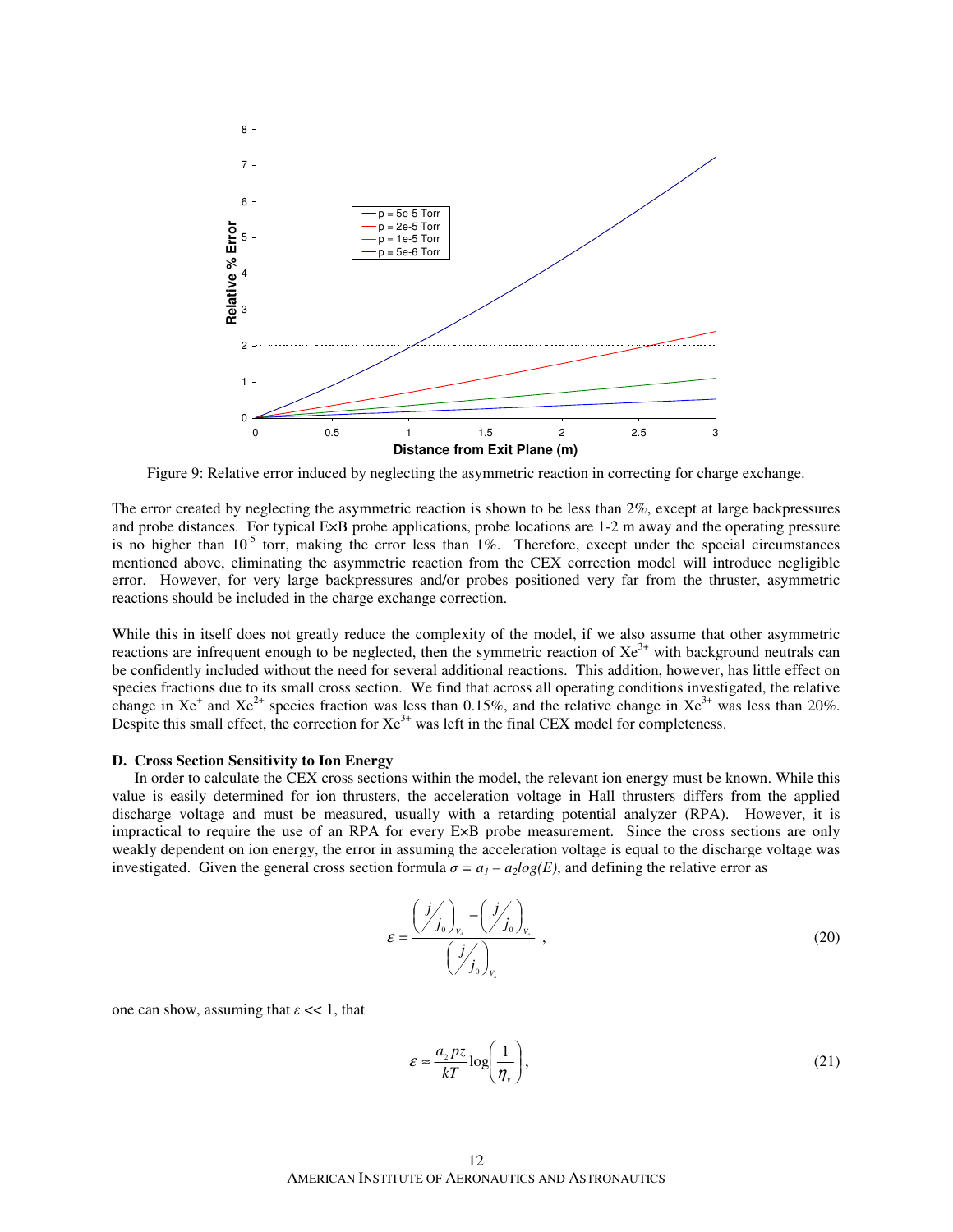

Figure 9: Relative error induced by neglecting the asymmetric reaction in correcting for charge exchange.

The error created by neglecting the asymmetric reaction is shown to be less than 2%, except at large backpressures and probe distances. For typical E×B probe applications, probe locations are 1-2 m away and the operating pressure is no higher than  $10^{-5}$  torr, making the error less than  $1\%$ . Therefore, except under the special circumstances mentioned above, eliminating the asymmetric reaction from the CEX correction model will introduce negligible error. However, for very large backpressures and/or probes positioned very far from the thruster, asymmetric reactions should be included in the charge exchange correction.

While this in itself does not greatly reduce the complexity of the model, if we also assume that other asymmetric reactions are infrequent enough to be neglected, then the symmetric reaction of  $Xe^{3+}$  with background neutrals can be confidently included without the need for several additional reactions. This addition, however, has little effect on species fractions due to its small cross section. We find that across all operating conditions investigated, the relative change in  $Xe^+$  and  $Xe^{2+}$  species fraction was less than 0.15%, and the relative change in  $Xe^{3+}$  was less than 20%. Despite this small effect, the correction for  $Xe^{3+}$  was left in the final CEX model for completeness.

## **D. Cross Section Sensitivity to Ion Energy**

In order to calculate the CEX cross sections within the model, the relevant ion energy must be known. While this value is easily determined for ion thrusters, the acceleration voltage in Hall thrusters differs from the applied discharge voltage and must be measured, usually with a retarding potential analyzer (RPA). However, it is impractical to require the use of an RPA for every E×B probe measurement. Since the cross sections are only weakly dependent on ion energy, the error in assuming the acceleration voltage is equal to the discharge voltage was investigated. Given the general cross section formula  $\sigma = a_1 - a_2 log(E)$ , and defining the relative error as

$$
\varepsilon = \frac{\left(\frac{j}{j_0}\right)_{v_s} - \left(\frac{j}{j_0}\right)_{v_s}}{\left(\frac{j}{j_0}\right)_{v_s}},
$$
\n(20)

one can show, assuming that  $\varepsilon \ll 1$ , that

$$
\varepsilon \approx \frac{a_2 p z}{kT} \log \left( \frac{1}{\eta_v} \right),\tag{21}
$$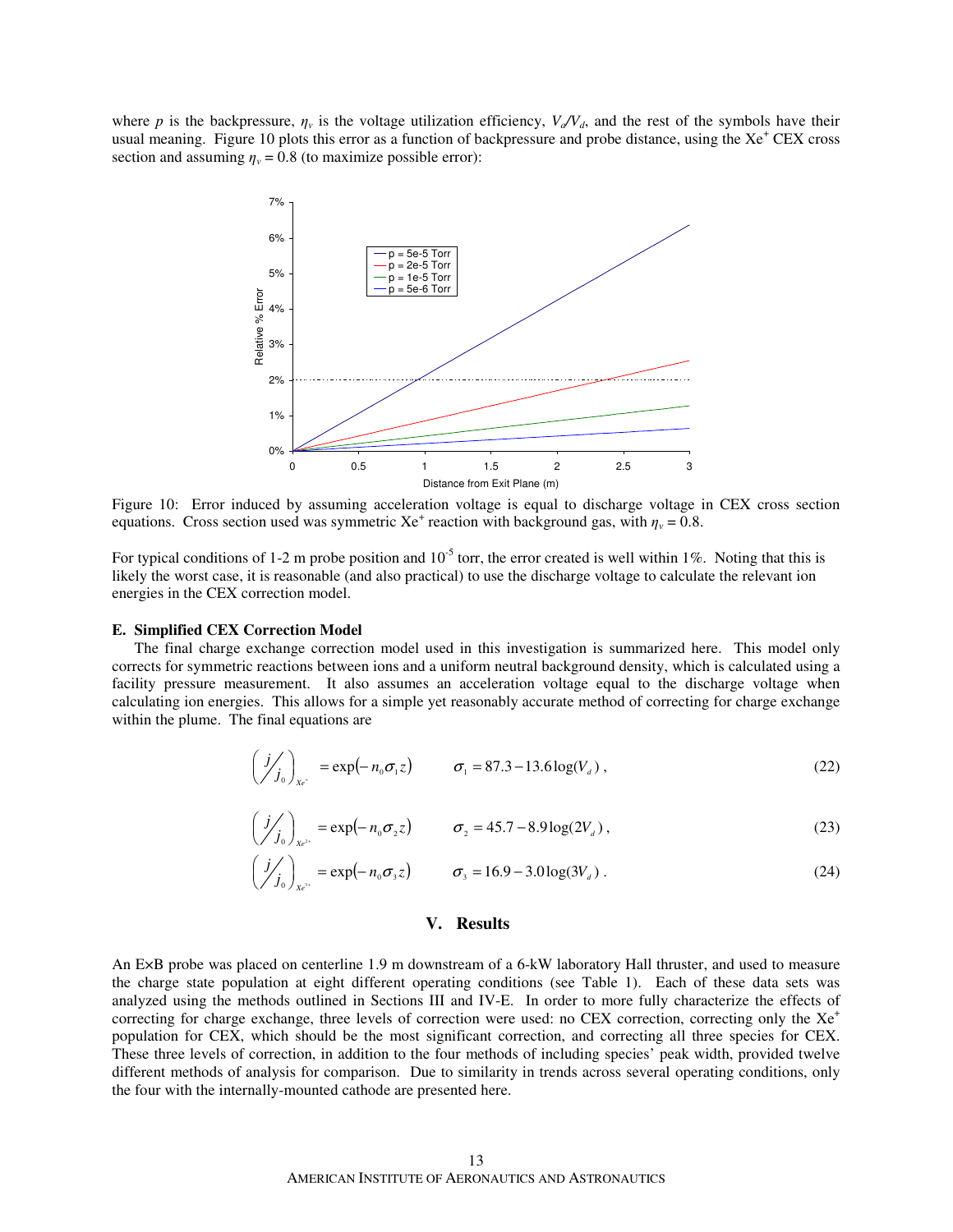where *p* is the backpressure,  $\eta_v$  is the voltage utilization efficiency,  $V_d/V_d$ , and the rest of the symbols have their usual meaning. Figure 10 plots this error as a function of backpressure and probe distance, using the Xe<sup>+</sup> CEX cross section and assuming  $\eta_v = 0.8$  (to maximize possible error):



Figure 10: Error induced by assuming acceleration voltage is equal to discharge voltage in CEX cross section equations. Cross section used was symmetric Xe<sup>+</sup> reaction with background gas, with  $\eta_v = 0.8$ .

For typical conditions of 1-2 m probe position and  $10^{-5}$  torr, the error created is well within 1%. Noting that this is likely the worst case, it is reasonable (and also practical) to use the discharge voltage to calculate the relevant ion energies in the CEX correction model.

#### **E. Simplified CEX Correction Model**

The final charge exchange correction model used in this investigation is summarized here. This model only corrects for symmetric reactions between ions and a uniform neutral background density, which is calculated using a facility pressure measurement. It also assumes an acceleration voltage equal to the discharge voltage when calculating ion energies. This allows for a simple yet reasonably accurate method of correcting for charge exchange within the plume. The final equations are

$$
\left(\frac{j}{j_0}\right)_{x_{e^*}} = \exp(-n_0 \sigma_1 z) \qquad \sigma_1 = 87.3 - 13.6 \log(V_d) \,, \tag{22}
$$

$$
\left(\frac{j}{j_0}\right)_{Xe^{2^*}} = \exp(-n_0 \sigma_2 z) \qquad \sigma_2 = 45.7 - 8.9 \log(2V_d) \,, \tag{23}
$$

$$
\left(\frac{j}{j_0}\right)_{x e^{3s}} = \exp(-n_0 \sigma_3 z) \qquad \sigma_3 = 16.9 - 3.0 \log(3V_d) \,. \tag{24}
$$

# **V. Results**

An E×B probe was placed on centerline 1.9 m downstream of a 6-kW laboratory Hall thruster, and used to measure the charge state population at eight different operating conditions (see Table 1). Each of these data sets was analyzed using the methods outlined in Sections III and IV-E. In order to more fully characterize the effects of correcting for charge exchange, three levels of correction were used: no CEX correction, correcting only the  $Xe<sup>+</sup>$ population for CEX, which should be the most significant correction, and correcting all three species for CEX. These three levels of correction, in addition to the four methods of including species' peak width, provided twelve different methods of analysis for comparison. Due to similarity in trends across several operating conditions, only the four with the internally-mounted cathode are presented here.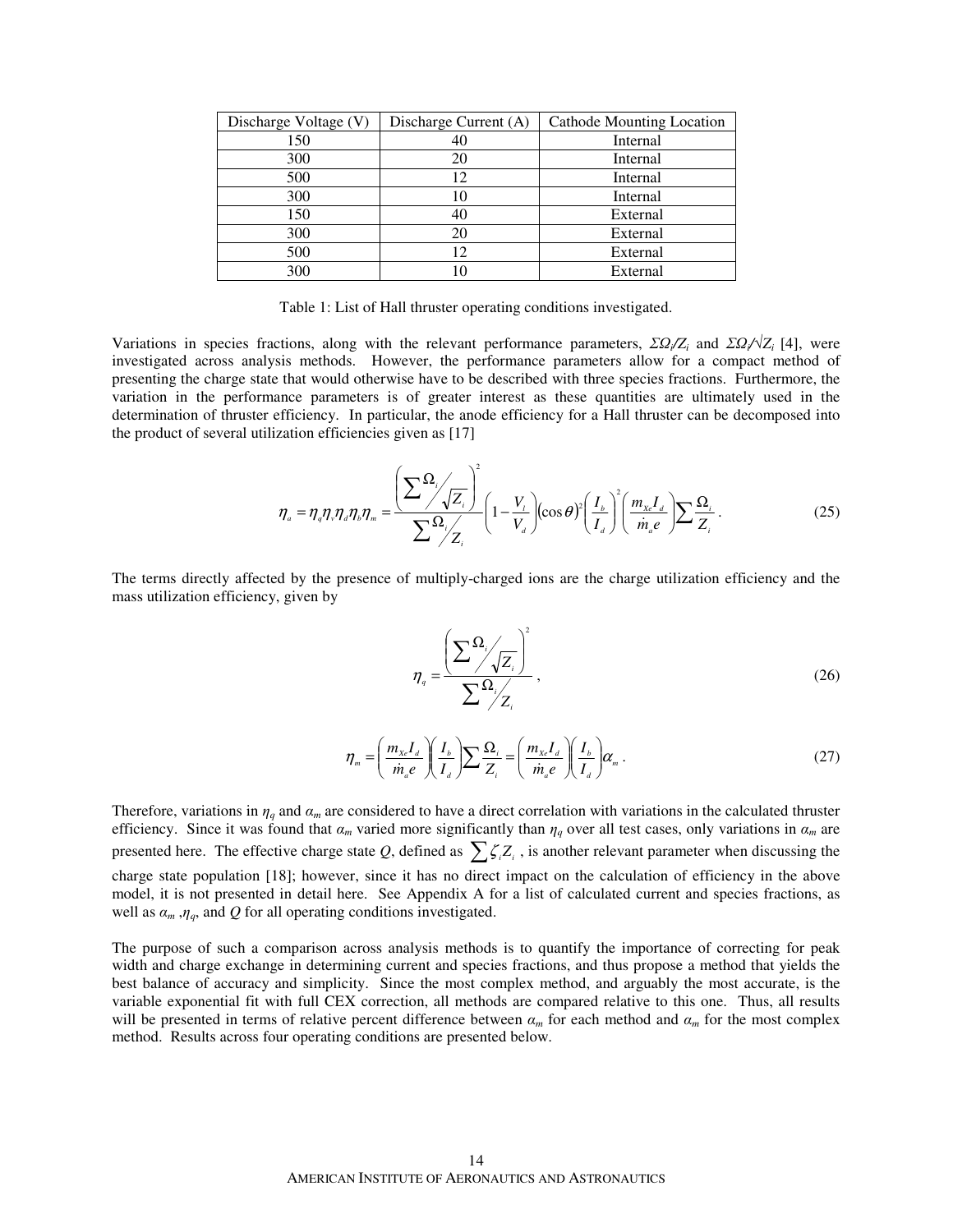| Discharge Voltage (V) | Discharge Current (A) | <b>Cathode Mounting Location</b> |
|-----------------------|-----------------------|----------------------------------|
| 150                   | 40                    | Internal                         |
| 300                   | 20                    | Internal                         |
| 500                   | 12                    | Internal                         |
| 300                   | 10                    | Internal                         |
| 150                   | 40                    | External                         |
| 300                   | 20                    | External                         |
| 500                   | $\overline{2}$        | External                         |
| 300                   |                       | External                         |

Table 1: List of Hall thruster operating conditions investigated.

Variations in species fractions, along with the relevant performance parameters, ΣΩ*<sup>i</sup> /Zi* and ΣΩ*<sup>i</sup> /*√*Zi* [4], were investigated across analysis methods. However, the performance parameters allow for a compact method of presenting the charge state that would otherwise have to be described with three species fractions. Furthermore, the variation in the performance parameters is of greater interest as these quantities are ultimately used in the determination of thruster efficiency. In particular, the anode efficiency for a Hall thruster can be decomposed into the product of several utilization efficiencies given as [17]

$$
\eta_a = \eta_a \eta_c \eta_a \eta_b \eta_m = \frac{\left(\sum \frac{\Omega_i}{\sqrt{Z_i}}\right)^2}{\sum \Omega_i / Z_i} \left(1 - \frac{V_i}{V_d}\right) (\cos \theta)^2 \left(\frac{I_b}{I_d}\right)^2 \left(\frac{m_{X_c} I_d}{\dot{m}_d e}\right) \sum \frac{\Omega_i}{Z_i}.
$$
 (25)

The terms directly affected by the presence of multiply-charged ions are the charge utilization efficiency and the mass utilization efficiency, given by

$$
\eta_{q} = \frac{\left(\sum \frac{\Omega_{i}}{\sqrt{Z_{i}}}\right)^{2}}{\sum \frac{\Omega_{i}}{Z_{i}}},
$$
\n(26)

$$
\eta_m = \left(\frac{m_{x_c}I_d}{\dot{m}_a e}\right)\left(\frac{I_b}{I_d}\right)\sum \frac{\Omega_i}{Z_i} = \left(\frac{m_{x_c}I_d}{\dot{m}_a e}\right)\left(\frac{I_b}{I_d}\right)\alpha_m. \tag{27}
$$

Therefore, variations in  $\eta_q$  and  $\alpha_m$  are considered to have a direct correlation with variations in the calculated thruster efficiency. Since it was found that  $\alpha_m$  varied more significantly than  $\eta_q$  over all test cases, only variations in  $\alpha_m$  are presented here. The effective charge state Q, defined as  $\sum \zeta_i Z_i$ , is another relevant parameter when discussing the charge state population [18]; however, since it has no direct impact on the calculation of efficiency in the above model, it is not presented in detail here. See Appendix A for a list of calculated current and species fractions, as well as  $\alpha_m$ ,  $\eta_q$ , and *Q* for all operating conditions investigated.

The purpose of such a comparison across analysis methods is to quantify the importance of correcting for peak width and charge exchange in determining current and species fractions, and thus propose a method that yields the best balance of accuracy and simplicity. Since the most complex method, and arguably the most accurate, is the variable exponential fit with full CEX correction, all methods are compared relative to this one. Thus, all results will be presented in terms of relative percent difference between  $\alpha_m$  for each method and  $\alpha_m$  for the most complex method. Results across four operating conditions are presented below.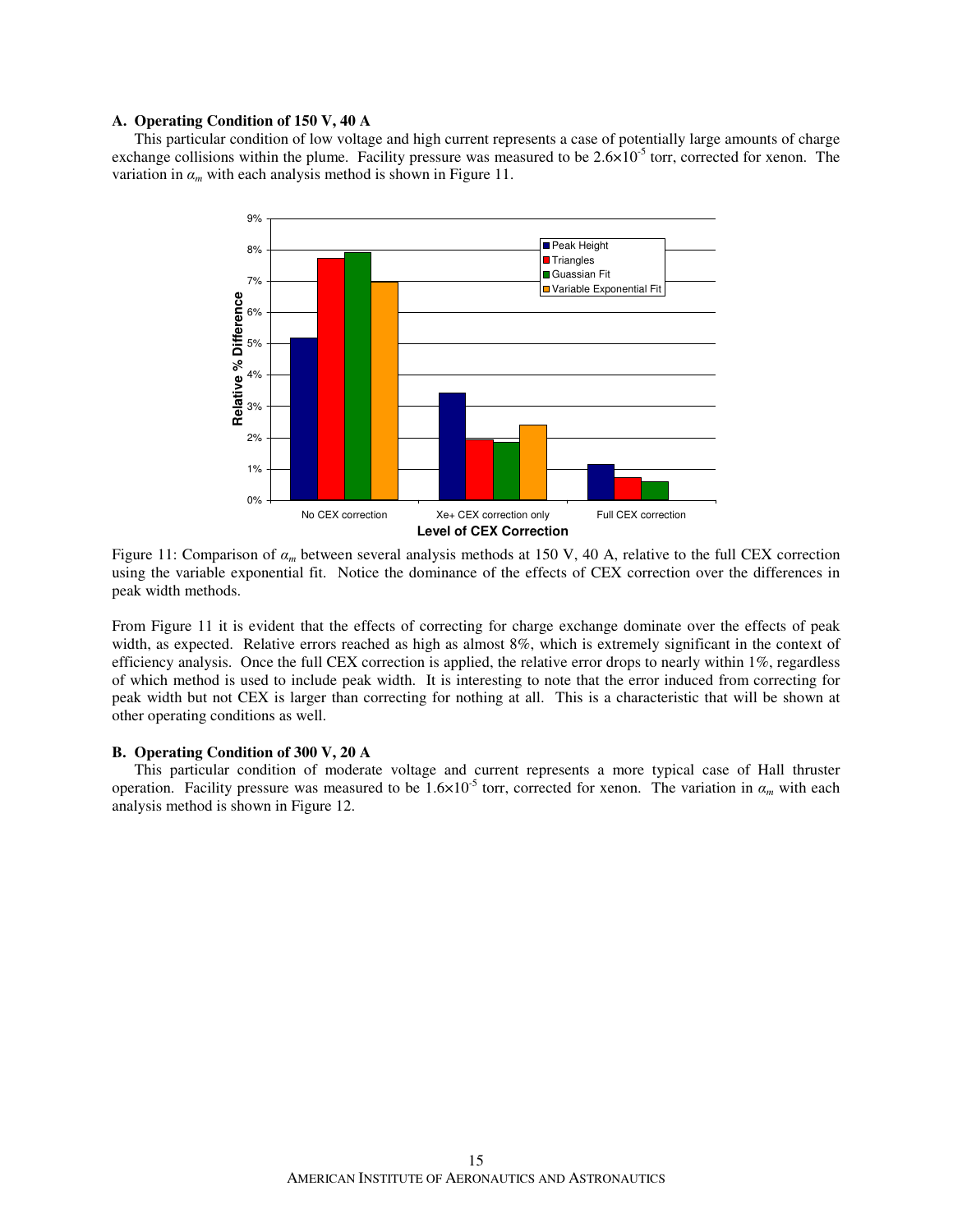## **A. Operating Condition of 150 V, 40 A**

 This particular condition of low voltage and high current represents a case of potentially large amounts of charge exchange collisions within the plume. Facility pressure was measured to be  $2.6\times10^{-5}$  torr, corrected for xenon. The variation in  $\alpha_m$  with each analysis method is shown in Figure 11.



Figure 11: Comparison of α*m* between several analysis methods at 150 V, 40 A, relative to the full CEX correction using the variable exponential fit. Notice the dominance of the effects of CEX correction over the differences in peak width methods.

From Figure 11 it is evident that the effects of correcting for charge exchange dominate over the effects of peak width, as expected. Relative errors reached as high as almost 8%, which is extremely significant in the context of efficiency analysis. Once the full CEX correction is applied, the relative error drops to nearly within 1%, regardless of which method is used to include peak width. It is interesting to note that the error induced from correcting for peak width but not CEX is larger than correcting for nothing at all. This is a characteristic that will be shown at other operating conditions as well.

# **B. Operating Condition of 300 V, 20 A**

 This particular condition of moderate voltage and current represents a more typical case of Hall thruster operation. Facility pressure was measured to be  $1.6\times10^{-5}$  torr, corrected for xenon. The variation in  $\alpha_m$  with each analysis method is shown in Figure 12.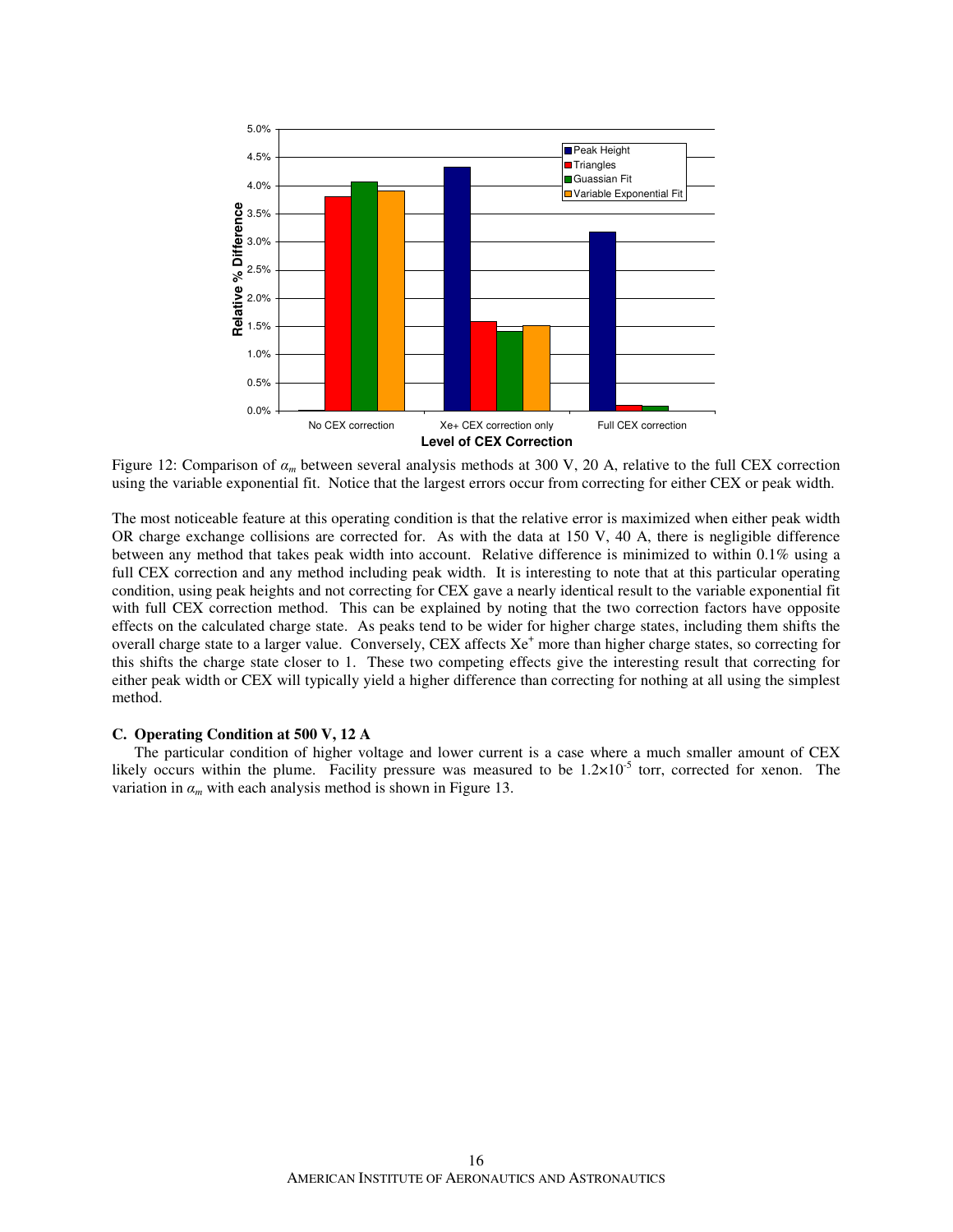

Figure 12: Comparison of α*m* between several analysis methods at 300 V, 20 A, relative to the full CEX correction using the variable exponential fit. Notice that the largest errors occur from correcting for either CEX or peak width.

The most noticeable feature at this operating condition is that the relative error is maximized when either peak width OR charge exchange collisions are corrected for. As with the data at 150 V, 40 A, there is negligible difference between any method that takes peak width into account. Relative difference is minimized to within 0.1% using a full CEX correction and any method including peak width. It is interesting to note that at this particular operating condition, using peak heights and not correcting for CEX gave a nearly identical result to the variable exponential fit with full CEX correction method. This can be explained by noting that the two correction factors have opposite effects on the calculated charge state. As peaks tend to be wider for higher charge states, including them shifts the overall charge state to a larger value. Conversely, CEX affects Xe<sup>+</sup> more than higher charge states, so correcting for this shifts the charge state closer to 1. These two competing effects give the interesting result that correcting for either peak width or CEX will typically yield a higher difference than correcting for nothing at all using the simplest method.

## **C. Operating Condition at 500 V, 12 A**

 The particular condition of higher voltage and lower current is a case where a much smaller amount of CEX likely occurs within the plume. Facility pressure was measured to be  $1.2\times10^{-5}$  torr, corrected for xenon. The variation in  $\alpha_m$  with each analysis method is shown in Figure 13.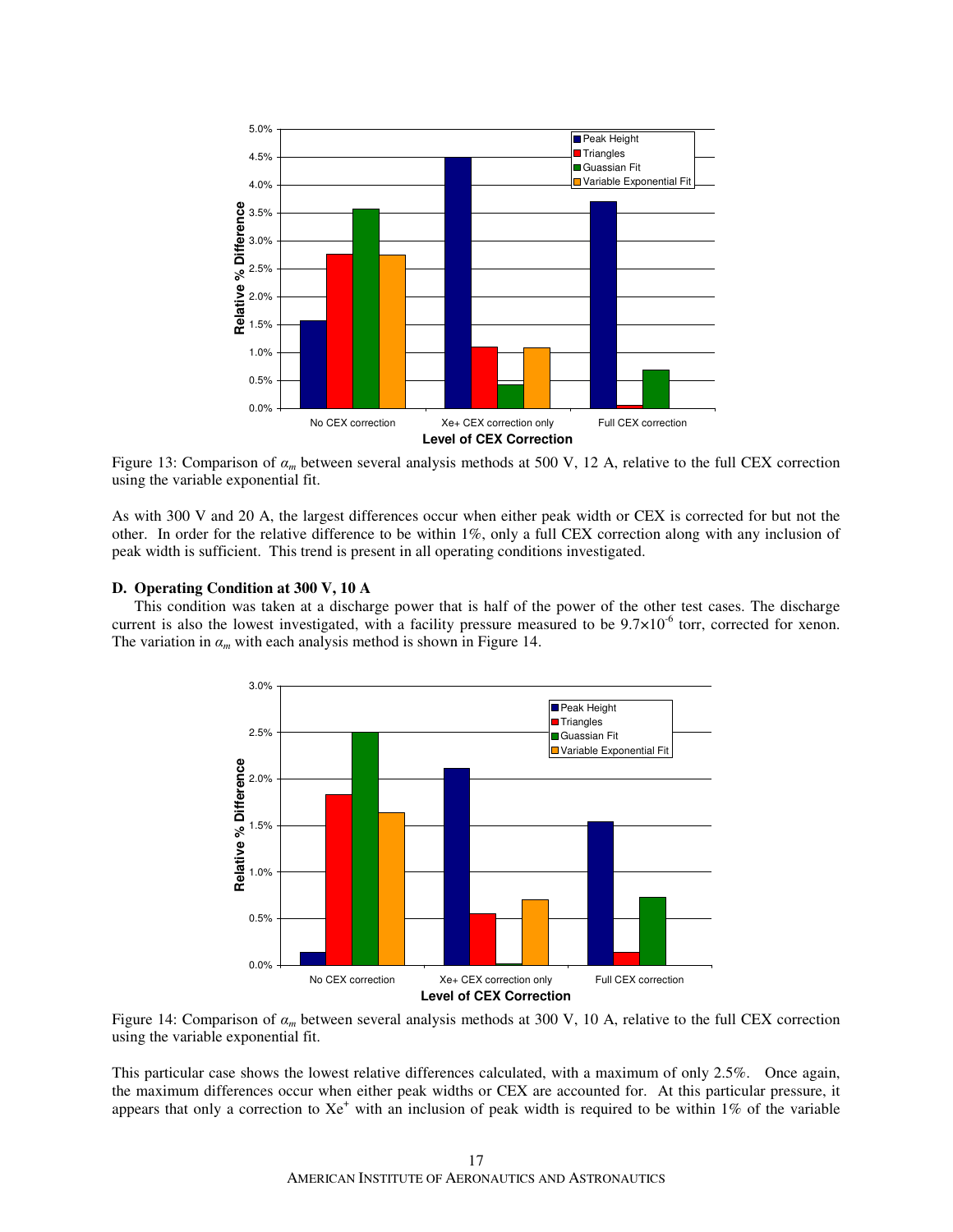

Figure 13: Comparison of α*m* between several analysis methods at 500 V, 12 A, relative to the full CEX correction using the variable exponential fit.

As with 300 V and 20 A, the largest differences occur when either peak width or CEX is corrected for but not the other. In order for the relative difference to be within 1%, only a full CEX correction along with any inclusion of peak width is sufficient. This trend is present in all operating conditions investigated.

# **D. Operating Condition at 300 V, 10 A**

 This condition was taken at a discharge power that is half of the power of the other test cases. The discharge current is also the lowest investigated, with a facility pressure measured to be  $9.7 \times 10^{-6}$  torr, corrected for xenon. The variation in  $\alpha_m$  with each analysis method is shown in Figure 14.



Figure 14: Comparison of α*m* between several analysis methods at 300 V, 10 A, relative to the full CEX correction using the variable exponential fit.

This particular case shows the lowest relative differences calculated, with a maximum of only 2.5%. Once again, the maximum differences occur when either peak widths or CEX are accounted for. At this particular pressure, it appears that only a correction to  $Xe^+$  with an inclusion of peak width is required to be within 1% of the variable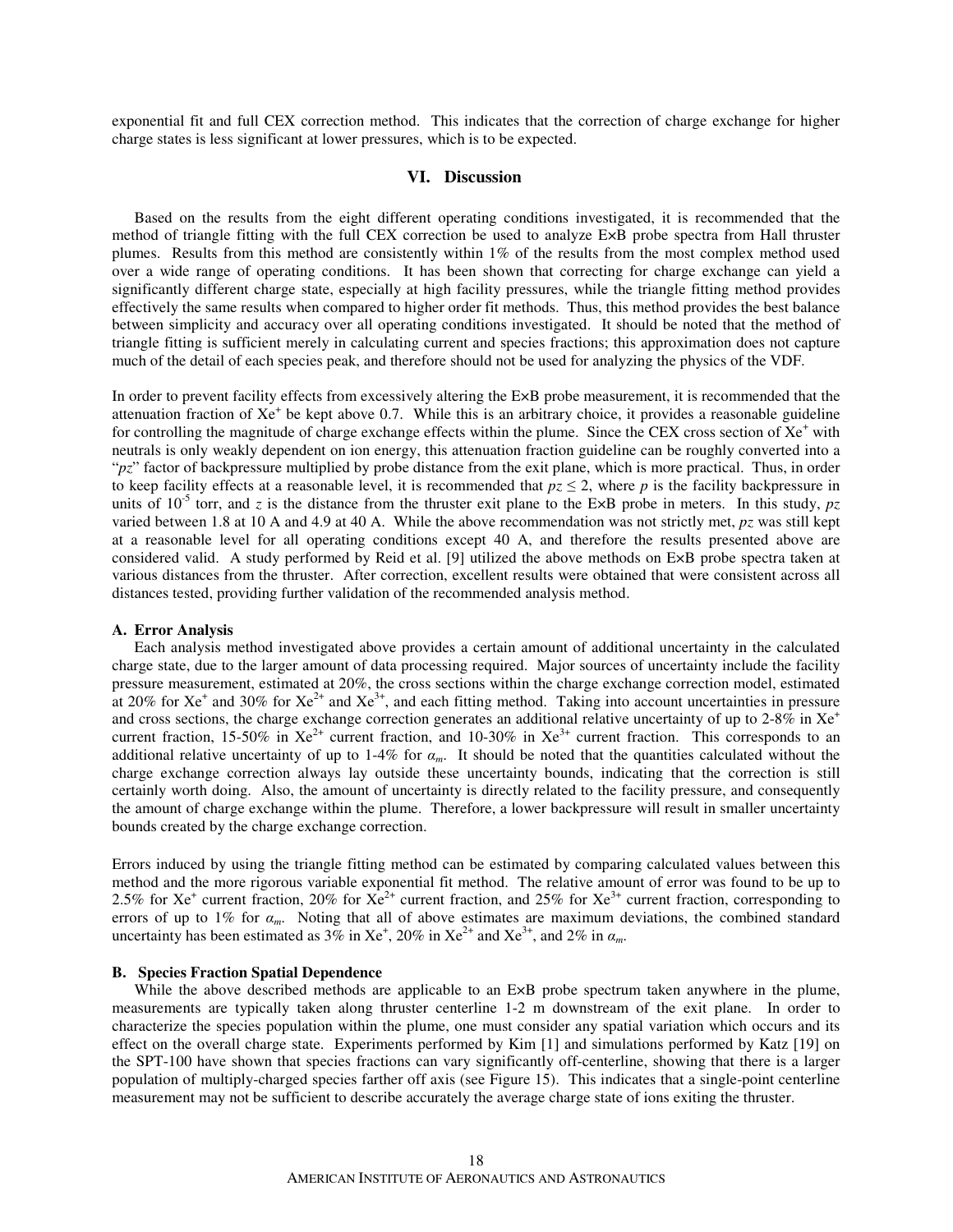exponential fit and full CEX correction method. This indicates that the correction of charge exchange for higher charge states is less significant at lower pressures, which is to be expected.

#### **VI. Discussion**

Based on the results from the eight different operating conditions investigated, it is recommended that the method of triangle fitting with the full CEX correction be used to analyze E×B probe spectra from Hall thruster plumes. Results from this method are consistently within 1% of the results from the most complex method used over a wide range of operating conditions. It has been shown that correcting for charge exchange can yield a significantly different charge state, especially at high facility pressures, while the triangle fitting method provides effectively the same results when compared to higher order fit methods. Thus, this method provides the best balance between simplicity and accuracy over all operating conditions investigated. It should be noted that the method of triangle fitting is sufficient merely in calculating current and species fractions; this approximation does not capture much of the detail of each species peak, and therefore should not be used for analyzing the physics of the VDF.

In order to prevent facility effects from excessively altering the E×B probe measurement, it is recommended that the attenuation fraction of  $Xe^+$  be kept above 0.7. While this is an arbitrary choice, it provides a reasonable guideline for controlling the magnitude of charge exchange effects within the plume. Since the CEX cross section of  $Xe^+$  with neutrals is only weakly dependent on ion energy, this attenuation fraction guideline can be roughly converted into a "*pz*" factor of backpressure multiplied by probe distance from the exit plane, which is more practical. Thus, in order to keep facility effects at a reasonable level, it is recommended that  $pz \leq 2$ , where p is the facility backpressure in units of 10<sup>-5</sup> torr, and *z* is the distance from the thruster exit plane to the E×B probe in meters. In this study,  $pz$ varied between 1.8 at 10 A and 4.9 at 40 A. While the above recommendation was not strictly met, *pz* was still kept at a reasonable level for all operating conditions except 40 A, and therefore the results presented above are considered valid. A study performed by Reid et al. [9] utilized the above methods on E×B probe spectra taken at various distances from the thruster. After correction, excellent results were obtained that were consistent across all distances tested, providing further validation of the recommended analysis method.

#### **A. Error Analysis**

Each analysis method investigated above provides a certain amount of additional uncertainty in the calculated charge state, due to the larger amount of data processing required. Major sources of uncertainty include the facility pressure measurement, estimated at 20%, the cross sections within the charge exchange correction model, estimated at 20% for  $Xe^+$  and 30% for  $Xe^{2+}$  and  $Xe^{3+}$ , and each fitting method. Taking into account uncertainties in pressure and cross sections, the charge exchange correction generates an additional relative uncertainty of up to  $2-8\%$  in  $Xe^+$ current fraction, 15-50% in  $Xe^{2+}$  current fraction, and 10-30% in  $Xe^{3+}$  current fraction. This corresponds to an additional relative uncertainty of up to 1-4% for α*m*. It should be noted that the quantities calculated without the charge exchange correction always lay outside these uncertainty bounds, indicating that the correction is still certainly worth doing. Also, the amount of uncertainty is directly related to the facility pressure, and consequently the amount of charge exchange within the plume. Therefore, a lower backpressure will result in smaller uncertainty bounds created by the charge exchange correction.

Errors induced by using the triangle fitting method can be estimated by comparing calculated values between this method and the more rigorous variable exponential fit method. The relative amount of error was found to be up to 2.5% for Xe<sup>+</sup> current fraction, 20% for  $\bar{X}e^{2+}$  current fraction, and 25% for  $Xe^{3+}$  current fraction, corresponding to errors of up to 1% for α*m*. Noting that all of above estimates are maximum deviations, the combined standard uncertainty has been estimated as  $3\%$  in Xe<sup>+</sup>, 20% in Xe<sup>2+</sup> and Xe<sup>3+</sup>, and 2% in  $\alpha_m$ .

## **B. Species Fraction Spatial Dependence**

While the above described methods are applicable to an E $\times$ B probe spectrum taken anywhere in the plume, measurements are typically taken along thruster centerline 1-2 m downstream of the exit plane. In order to characterize the species population within the plume, one must consider any spatial variation which occurs and its effect on the overall charge state. Experiments performed by Kim [1] and simulations performed by Katz [19] on the SPT-100 have shown that species fractions can vary significantly off-centerline, showing that there is a larger population of multiply-charged species farther off axis (see Figure 15). This indicates that a single-point centerline measurement may not be sufficient to describe accurately the average charge state of ions exiting the thruster.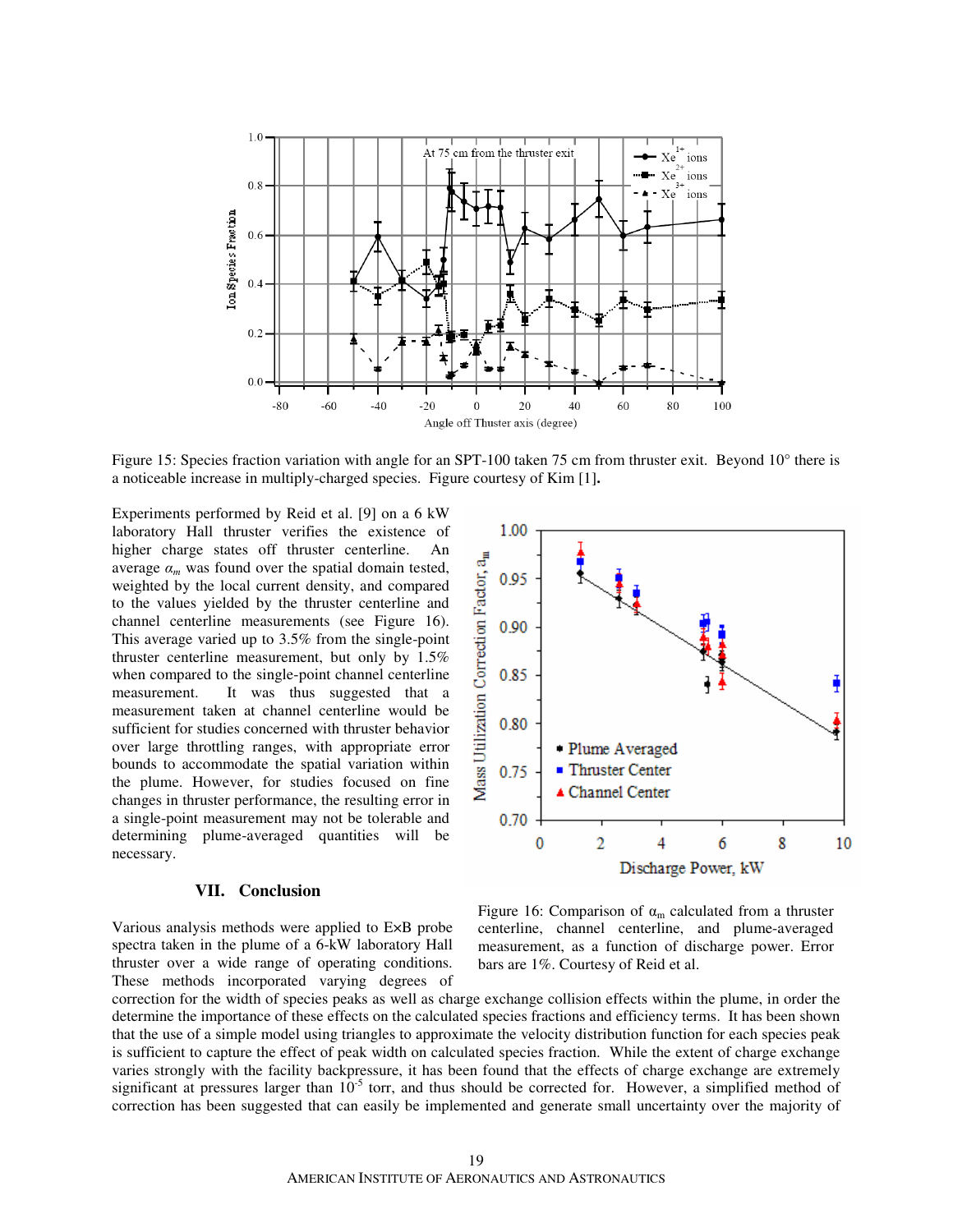

Figure 15: Species fraction variation with angle for an SPT-100 taken 75 cm from thruster exit. Beyond 10° there is a noticeable increase in multiply-charged species. Figure courtesy of Kim [1]**.** 

Experiments performed by Reid et al. [9] on a 6 kW laboratory Hall thruster verifies the existence of higher charge states off thruster centerline. An average  $\alpha_m$  was found over the spatial domain tested, weighted by the local current density, and compared to the values yielded by the thruster centerline and channel centerline measurements (see Figure 16). This average varied up to 3.5% from the single-point thruster centerline measurement, but only by 1.5% when compared to the single-point channel centerline measurement. It was thus suggested that a measurement taken at channel centerline would be sufficient for studies concerned with thruster behavior over large throttling ranges, with appropriate error bounds to accommodate the spatial variation within the plume. However, for studies focused on fine changes in thruster performance, the resulting error in a single-point measurement may not be tolerable and determining plume-averaged quantities will be necessary.

## **VII. Conclusion**

Various analysis methods were applied to E×B probe spectra taken in the plume of a 6-kW laboratory Hall thruster over a wide range of operating conditions. These methods incorporated varying degrees of



Figure 16: Comparison of  $\alpha_m$  calculated from a thruster centerline, channel centerline, and plume-averaged measurement, as a function of discharge power. Error bars are 1%. Courtesy of Reid et al.

correction for the width of species peaks as well as charge exchange collision effects within the plume, in order the determine the importance of these effects on the calculated species fractions and efficiency terms. It has been shown that the use of a simple model using triangles to approximate the velocity distribution function for each species peak is sufficient to capture the effect of peak width on calculated species fraction. While the extent of charge exchange varies strongly with the facility backpressure, it has been found that the effects of charge exchange are extremely significant at pressures larger than  $10^{-5}$  torr, and thus should be corrected for. However, a simplified method of correction has been suggested that can easily be implemented and generate small uncertainty over the majority of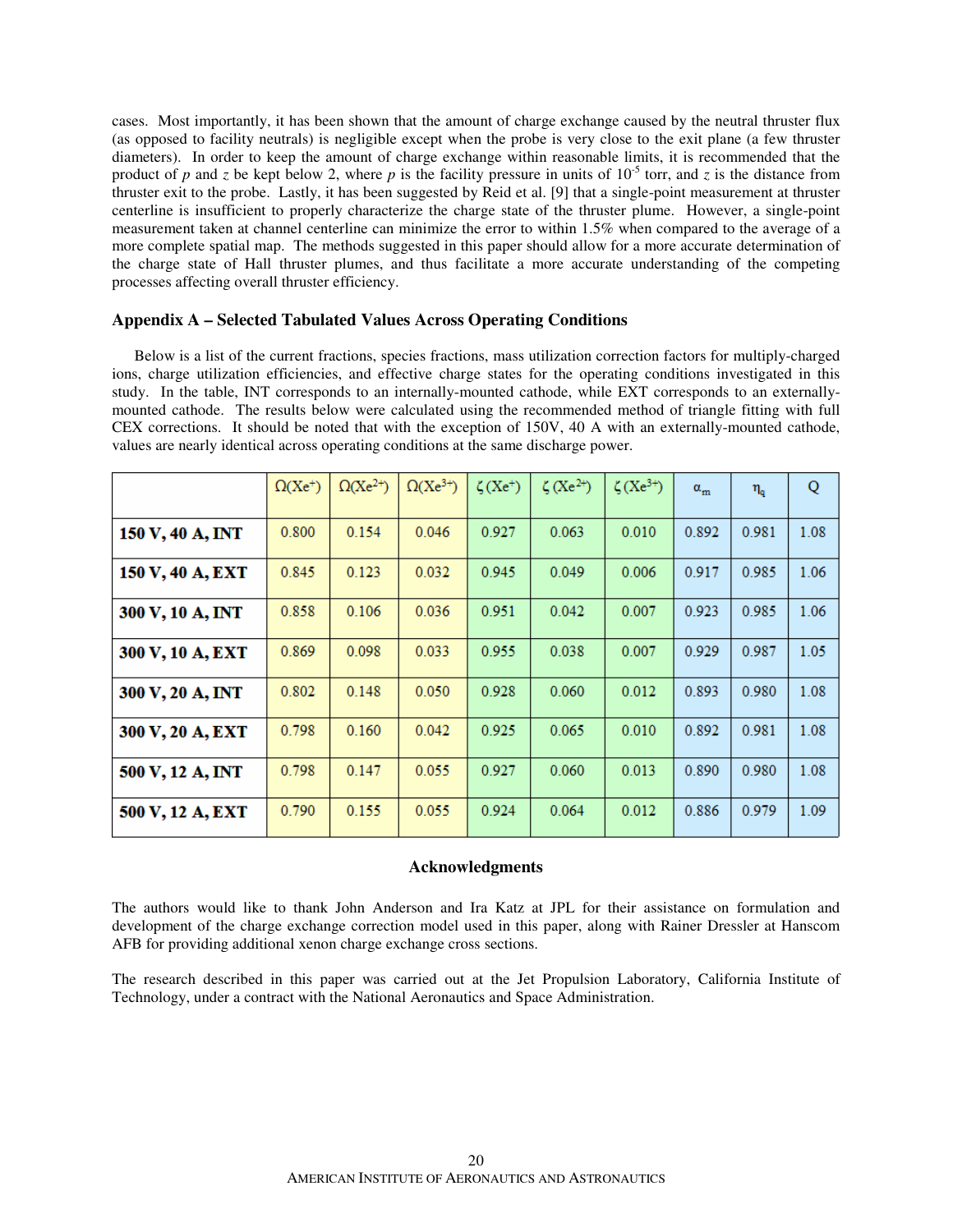cases. Most importantly, it has been shown that the amount of charge exchange caused by the neutral thruster flux (as opposed to facility neutrals) is negligible except when the probe is very close to the exit plane (a few thruster diameters). In order to keep the amount of charge exchange within reasonable limits, it is recommended that the product of *p* and *z* be kept below 2, where *p* is the facility pressure in units of  $10^{-5}$  torr, and *z* is the distance from thruster exit to the probe. Lastly, it has been suggested by Reid et al. [9] that a single-point measurement at thruster centerline is insufficient to properly characterize the charge state of the thruster plume. However, a single-point measurement taken at channel centerline can minimize the error to within 1.5% when compared to the average of a more complete spatial map. The methods suggested in this paper should allow for a more accurate determination of the charge state of Hall thruster plumes, and thus facilitate a more accurate understanding of the competing processes affecting overall thruster efficiency.

# **Appendix A – Selected Tabulated Values Across Operating Conditions**

Below is a list of the current fractions, species fractions, mass utilization correction factors for multiply-charged ions, charge utilization efficiencies, and effective charge states for the operating conditions investigated in this study. In the table, INT corresponds to an internally-mounted cathode, while EXT corresponds to an externallymounted cathode. The results below were calculated using the recommended method of triangle fitting with full CEX corrections. It should be noted that with the exception of 150V, 40 A with an externally-mounted cathode, values are nearly identical across operating conditions at the same discharge power.

|                  | $\Omega(Xe^+)$ | $\Omega(Xe^{2})$ | $\Omega(Xe^{3})$ | $\zeta(Xe^+)$ | $ζ (Xe2+)$ | $\zeta(Xe^{3})$ | $\alpha_m$ | $\eta_q$ | Q    |
|------------------|----------------|------------------|------------------|---------------|------------|-----------------|------------|----------|------|
| 150 V, 40 A, INT | 0.800          | 0.154            | 0.046            | 0.927         | 0.063      | 0.010           | 0.892      | 0.981    | 1.08 |
| 150 V, 40 A, EXT | 0.845          | 0.123            | 0.032            | 0.945         | 0.049      | 0.006           | 0.917      | 0.985    | 1.06 |
| 300 V, 10 A, INT | 0.858          | 0.106            | 0.036            | 0.951         | 0.042      | 0.007           | 0.923      | 0.985    | 1.06 |
| 300 V, 10 A, EXT | 0.869          | 0.098            | 0.033            | 0.955         | 0.038      | 0.007           | 0.929      | 0.987    | 1.05 |
| 300 V, 20 A, INT | 0.802          | 0.148            | 0.050            | 0.928         | 0.060      | 0.012           | 0.893      | 0.980    | 1.08 |
| 300 V, 20 A, EXT | 0.798          | 0.160            | 0.042            | 0.925         | 0.065      | 0.010           | 0.892      | 0.981    | 1.08 |
| 500 V, 12 A, INT | 0.798          | 0.147            | 0.055            | 0.927         | 0.060      | 0.013           | 0.890      | 0.980    | 1.08 |
| 500 V, 12 A, EXT | 0.790          | 0.155            | 0.055            | 0.924         | 0.064      | 0.012           | 0.886      | 0.979    | 1.09 |

# **Acknowledgments**

The authors would like to thank John Anderson and Ira Katz at JPL for their assistance on formulation and development of the charge exchange correction model used in this paper, along with Rainer Dressler at Hanscom AFB for providing additional xenon charge exchange cross sections.

The research described in this paper was carried out at the Jet Propulsion Laboratory, California Institute of Technology, under a contract with the National Aeronautics and Space Administration.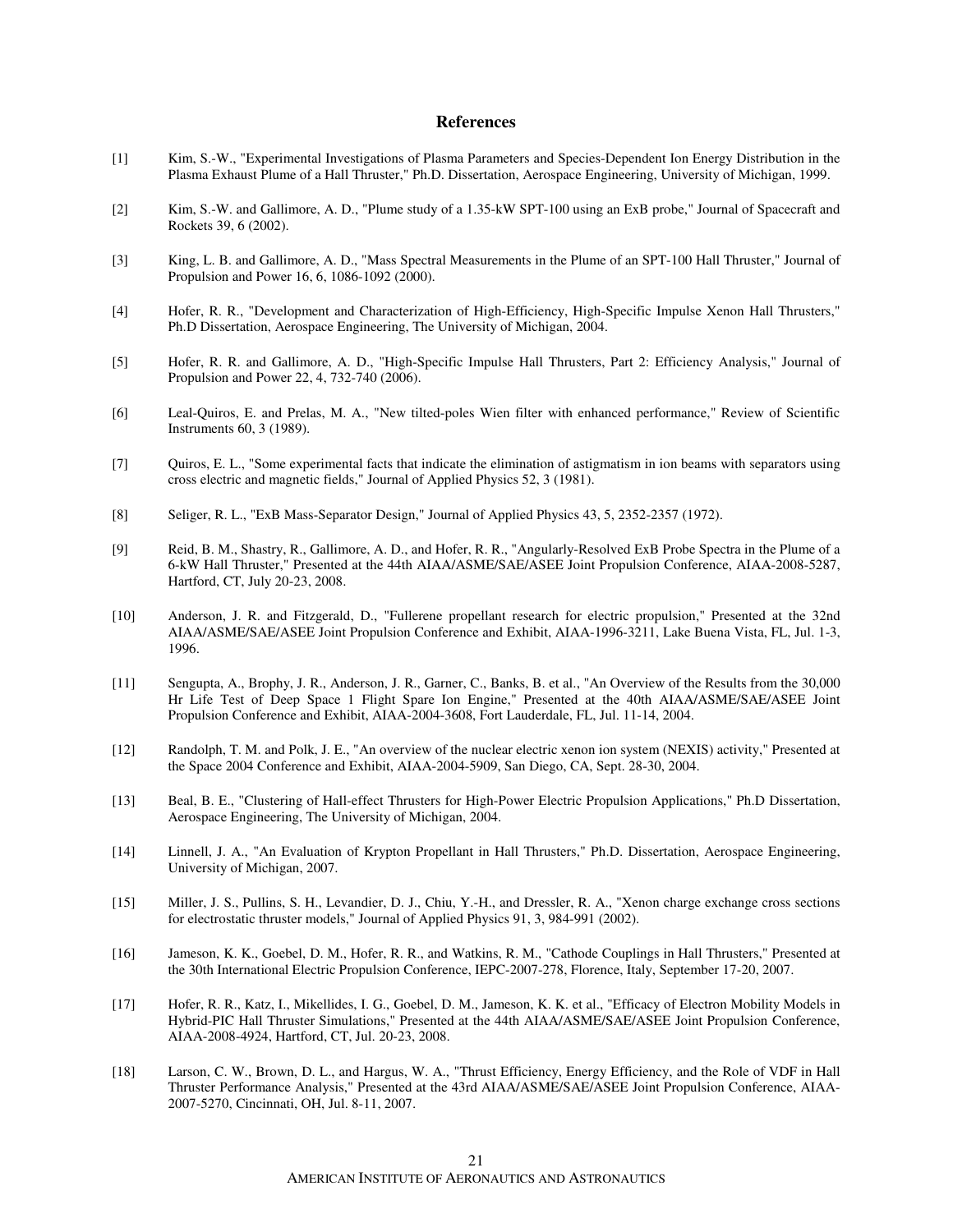## **References**

- [1] Kim, S.-W., "Experimental Investigations of Plasma Parameters and Species-Dependent Ion Energy Distribution in the Plasma Exhaust Plume of a Hall Thruster," Ph.D. Dissertation, Aerospace Engineering, University of Michigan, 1999.
- [2] Kim, S.-W. and Gallimore, A. D., "Plume study of a 1.35-kW SPT-100 using an ExB probe," Journal of Spacecraft and Rockets 39, 6 (2002).
- [3] King, L. B. and Gallimore, A. D., "Mass Spectral Measurements in the Plume of an SPT-100 Hall Thruster," Journal of Propulsion and Power 16, 6, 1086-1092 (2000).
- [4] Hofer, R. R., "Development and Characterization of High-Efficiency, High-Specific Impulse Xenon Hall Thrusters," Ph.D Dissertation, Aerospace Engineering, The University of Michigan, 2004.
- [5] Hofer, R. R. and Gallimore, A. D., "High-Specific Impulse Hall Thrusters, Part 2: Efficiency Analysis," Journal of Propulsion and Power 22, 4, 732-740 (2006).
- [6] Leal-Quiros, E. and Prelas, M. A., "New tilted-poles Wien filter with enhanced performance," Review of Scientific Instruments 60, 3 (1989).
- [7] Quiros, E. L., "Some experimental facts that indicate the elimination of astigmatism in ion beams with separators using cross electric and magnetic fields," Journal of Applied Physics 52, 3 (1981).
- [8] Seliger, R. L., "ExB Mass-Separator Design," Journal of Applied Physics 43, 5, 2352-2357 (1972).
- [9] Reid, B. M., Shastry, R., Gallimore, A. D., and Hofer, R. R., "Angularly-Resolved ExB Probe Spectra in the Plume of a 6-kW Hall Thruster," Presented at the 44th AIAA/ASME/SAE/ASEE Joint Propulsion Conference, AIAA-2008-5287, Hartford, CT, July 20-23, 2008.
- [10] Anderson, J. R. and Fitzgerald, D., "Fullerene propellant research for electric propulsion," Presented at the 32nd AIAA/ASME/SAE/ASEE Joint Propulsion Conference and Exhibit, AIAA-1996-3211, Lake Buena Vista, FL, Jul. 1-3, 1996.
- [11] Sengupta, A., Brophy, J. R., Anderson, J. R., Garner, C., Banks, B. et al., "An Overview of the Results from the 30,000 Hr Life Test of Deep Space 1 Flight Spare Ion Engine," Presented at the 40th AIAA/ASME/SAE/ASEE Joint Propulsion Conference and Exhibit, AIAA-2004-3608, Fort Lauderdale, FL, Jul. 11-14, 2004.
- [12] Randolph, T. M. and Polk, J. E., "An overview of the nuclear electric xenon ion system (NEXIS) activity," Presented at the Space 2004 Conference and Exhibit, AIAA-2004-5909, San Diego, CA, Sept. 28-30, 2004.
- [13] Beal, B. E., "Clustering of Hall-effect Thrusters for High-Power Electric Propulsion Applications," Ph.D Dissertation, Aerospace Engineering, The University of Michigan, 2004.
- [14] Linnell, J. A., "An Evaluation of Krypton Propellant in Hall Thrusters," Ph.D. Dissertation, Aerospace Engineering, University of Michigan, 2007.
- [15] Miller, J. S., Pullins, S. H., Levandier, D. J., Chiu, Y.-H., and Dressler, R. A., "Xenon charge exchange cross sections for electrostatic thruster models," Journal of Applied Physics 91, 3, 984-991 (2002).
- [16] Jameson, K. K., Goebel, D. M., Hofer, R. R., and Watkins, R. M., "Cathode Couplings in Hall Thrusters," Presented at the 30th International Electric Propulsion Conference, IEPC-2007-278, Florence, Italy, September 17-20, 2007.
- [17] Hofer, R. R., Katz, I., Mikellides, I. G., Goebel, D. M., Jameson, K. K. et al., "Efficacy of Electron Mobility Models in Hybrid-PIC Hall Thruster Simulations," Presented at the 44th AIAA/ASME/SAE/ASEE Joint Propulsion Conference, AIAA-2008-4924, Hartford, CT, Jul. 20-23, 2008.
- [18] Larson, C. W., Brown, D. L., and Hargus, W. A., "Thrust Efficiency, Energy Efficiency, and the Role of VDF in Hall Thruster Performance Analysis," Presented at the 43rd AIAA/ASME/SAE/ASEE Joint Propulsion Conference, AIAA-2007-5270, Cincinnati, OH, Jul. 8-11, 2007.